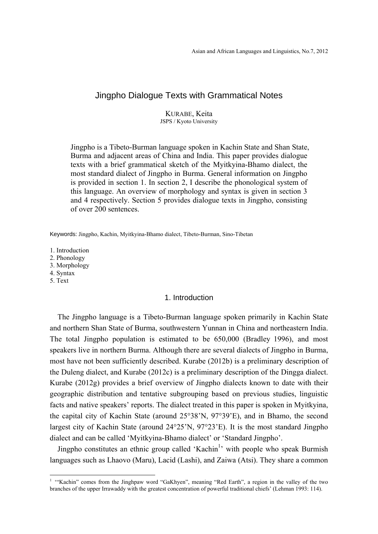# Jingpho Dialogue Texts with Grammatical Notes

KURABE, Keita JSPS / Kyoto University

Jingpho is a Tibeto-Burman language spoken in Kachin State and Shan State, Burma and adjacent areas of China and India. This paper provides dialogue texts with a brief grammatical sketch of the Myitkyina-Bhamo dialect, the most standard dialect of Jingpho in Burma. General information on Jingpho is provided in section 1. In section 2, I describe the phonological system of this language. An overview of morphology and syntax is given in section 3 and 4 respectively. Section 5 provides dialogue texts in Jingpho, consisting of over 200 sentences.

Keywords: Jingpho, Kachin, Myitkyina-Bhamo dialect, Tibeto-Burman, Sino-Tibetan

1. Introduction

2. Phonology

3. Morphology

4. Syntax

5. Text

 $\overline{a}$ 

#### 1. Introduction

The Jingpho language is a Tibeto-Burman language spoken primarily in Kachin State and northern Shan State of Burma, southwestern Yunnan in China and northeastern India. The total Jingpho population is estimated to be 650,000 (Bradley 1996), and most speakers live in northern Burma. Although there are several dialects of Jingpho in Burma, most have not been sufficiently described. Kurabe (2012b) is a preliminary description of the Duleng dialect, and Kurabe (2012c) is a preliminary description of the Dingga dialect. Kurabe (2012g) provides a brief overview of Jingpho dialects known to date with their geographic distribution and tentative subgrouping based on previous studies, linguistic facts and native speakers' reports. The dialect treated in this paper is spoken in Myitkyina, the capital city of Kachin State (around 25°38'N, 97°39'E), and in Bhamo, the second largest city of Kachin State (around 24°25'N, 97°23'E). It is the most standard Jingpho dialect and can be called 'Myitkyina-Bhamo dialect' or 'Standard Jingpho'.

Jingpho constitutes an ethnic group called 'Kachin<sup>1</sup>' with people who speak Burmish languages such as Lhaovo (Maru), Lacid (Lashi), and Zaiwa (Atsi). They share a common

<sup>&</sup>lt;sup>1</sup> "Kachin" comes from the Jinghpaw word "GaKhyen", meaning "Red Earth", a region in the valley of the two branches of the upper Irrawaddy with the greatest concentration of powerful traditional chiefs' (Lehman 1993: 114).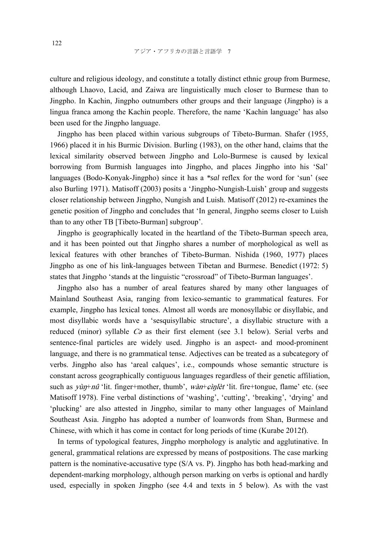culture and religious ideology, and constitute a totally distinct ethnic group from Burmese, although Lhaovo, Lacid, and Zaiwa are linguistically much closer to Burmese than to Jingpho. In Kachin, Jingpho outnumbers other groups and their language (Jingpho) is a lingua franca among the Kachin people. Therefore, the name 'Kachin language' has also been used for the Jingpho language.

Jingpho has been placed within various subgroups of Tibeto-Burman. Shafer (1955, 1966) placed it in his Burmic Division. Burling (1983), on the other hand, claims that the lexical similarity observed between Jingpho and Lolo-Burmese is caused by lexical borrowing from Burmish languages into Jingpho, and places Jingpho into his 'Sal' languages (Bodo-Konyak-Jingpho) since it has a *\*sal* reflex for the word for 'sun' (see also Burling 1971). Matisoff (2003) posits a 'Jingpho-Nungish-Luish' group and suggests closer relationship between Jingpho, Nungish and Luish. Matisoff (2012) re-examines the genetic position of Jingpho and concludes that 'In general, Jingpho seems closer to Luish than to any other TB [Tibeto-Burman] subgroup'.

Jingpho is geographically located in the heartland of the Tibeto-Burman speech area, and it has been pointed out that Jingpho shares a number of morphological as well as lexical features with other branches of Tibeto-Burman. Nishida (1960, 1977) places Jingpho as one of his link-languages between Tibetan and Burmese. Benedict (1972: 5) states that Jingpho 'stands at the linguistic "crossroad" of Tibeto-Burman languages'.

Jingpho also has a number of areal features shared by many other languages of Mainland Southeast Asia, ranging from lexico-semantic to grammatical features. For example, Jingpho has lexical tones. Almost all words are monosyllabic or disyllabic, and most disyllabic words have a 'sesquisyllabic structure', a disyllabic structure with a reduced (minor) syllable  $C\vartheta$  as their first element (see 3.1 below). Serial verbs and sentence-final particles are widely used. Jingpho is an aspect- and mood-prominent language, and there is no grammatical tense. Adjectives can be treated as a subcategory of verbs. Jingpho also has 'areal calques', i.e., compounds whose semantic structure is constant across geographically contiguous languages regardless of their genetic affiliation, such as  $y\dot{u}y + n\hat{u}$  'lit. finger+mother, thumb',  $\dot{w}\hat{a}n + \frac{\partial y}{\partial t}$ ' it. fire+tongue, flame' etc. (see Matisoff 1978). Fine verbal distinctions of 'washing', 'cutting', 'breaking', 'drying' and 'plucking' are also attested in Jingpho, similar to many other languages of Mainland Southeast Asia. Jingpho has adopted a number of loanwords from Shan, Burmese and Chinese, with which it has come in contact for long periods of time (Kurabe 2012f).

In terms of typological features, Jingpho morphology is analytic and agglutinative. In general, grammatical relations are expressed by means of postpositions. The case marking pattern is the nominative-accusative type (S/A vs. P). Jingpho has both head-marking and dependent-marking morphology, although person marking on verbs is optional and hardly used, especially in spoken Jingpho (see 4.4 and texts in 5 below). As with the vast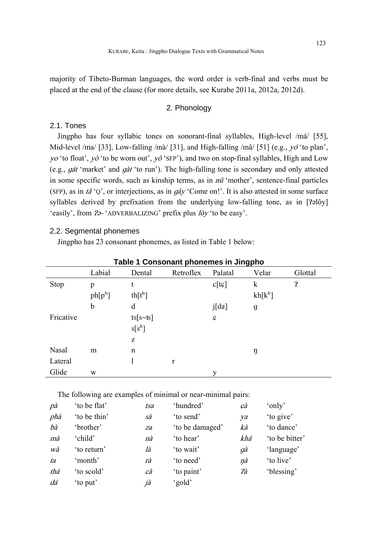majority of Tibeto-Burman languages, the word order is verb-final and verbs must be placed at the end of the clause (for more details, see Kurabe 2011a, 2012a, 2012d).

# 2. Phonology

# 2.1. Tones

Jingpho has four syllabic tones on sonorant-final syllables, High-level /má/ [55], Mid-level /ma/ [33], Low-falling /mà/ [31], and High-falling /mâ/ [51] (e.g.,  $y\acute{o}$  'to plan', yo 'to float', yò 'to be worn out', yô 'SFP'), and two on stop-final syllables, High and Low (e.g., ɡát 'market' and ɡàt 'to run'). The high-falling tone is secondary and only attested in some specific words, such as kinship terms, as in  $n\hat{u}$  'mother', sentence-final particles (SFP), as in tâ 'Q', or interjections, as in  $g\hat{a}y$  'Come on!'. It is also attested in some surface syllables derived by prefixation from the underlying low-falling tone, as in [ $2$ əlôy] 'easily', from  $2\sigma$ -'ADVERBALIZING' prefix plus  $\log$ ' to be easy'.

# 2.2. Segmental phonemes

Jingpho has 23 consonant phonemes, as listed in Table 1 below:

|           | Table 1 Consonant phonemes in Jingpho |                   |           |         |           |                       |  |  |
|-----------|---------------------------------------|-------------------|-----------|---------|-----------|-----------------------|--|--|
|           | Labial                                | Dental            | Retroflex | Palatal | Velar     | Glottal               |  |  |
| Stop      | p                                     | t                 |           | c[tc]   | k         | $\boldsymbol{\Omega}$ |  |  |
|           | $ph[p^h]$                             | $\th[t^h]$        |           |         | $kh[k^h]$ |                       |  |  |
|           | b                                     | d                 |           | j[dz]   | g         |                       |  |  |
| Fricative |                                       | $ts[s\text{-}ts]$ |           | Ç       |           |                       |  |  |
|           |                                       | $s[s^h]$          |           |         |           |                       |  |  |
|           |                                       | Z                 |           |         |           |                       |  |  |
| Nasal     | m                                     | $\mathbf n$       |           |         | ŋ         |                       |  |  |
| Lateral   |                                       |                   | r         |         |           |                       |  |  |
| Glide     | W                                     |                   |           | у       |           |                       |  |  |

# **Table 1 Consonant phonemes in Jingpho**

The following are examples of minimal or near-minimal pairs:

| pà  | 'to be flat' | tsa | 'hundred'       | çà  | 'only'         |
|-----|--------------|-----|-----------------|-----|----------------|
| phà | 'to be thin' | sà  | 'to send'       | ya  | 'to give'      |
| bà  | 'brother'    | za  | 'to be damaged' | kà  | 'to dance'     |
| mà  | 'child'      | nà  | 'to hear'       | khá | 'to be bitter' |
| wà  | 'to return'  | là  | 'to wait'       | gà  | 'language'     |
| ta  | 'month'      | rà  | to need'        | ŋà  | 'to live'      |
| thá | 'to scold'   | cà  | 'to paint'      | ?à  | 'blessing'     |
| dá  | to put'      | jà  | 'gold'          |     |                |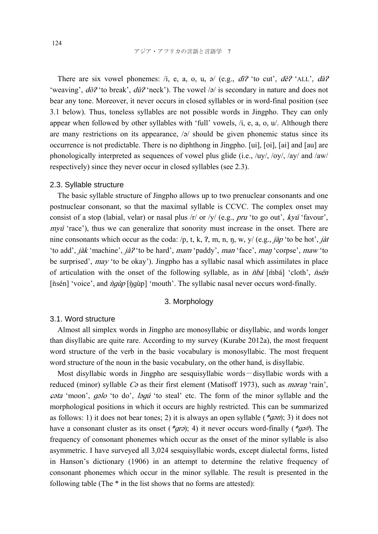There are six vowel phonemes: /i, e, a, o, u,  $\partial$  / (e.g.,  $d\hat{i}$ ? 'to cut',  $d\hat{e}$ ? 'ALL',  $d\hat{a}$ ? 'weaving',  $d\partial^2$  'to break',  $d\partial^2$  'neck'). The vowel /ə/ is secondary in nature and does not bear any tone. Moreover, it never occurs in closed syllables or in word-final position (see 3.1 below). Thus, toneless syllables are not possible words in Jingpho. They can only appear when followed by other syllables with 'full' vowels, /i, e, a, o, u/. Although there are many restrictions on its appearance,  $\sqrt{2}$  should be given phonemic status since its occurrence is not predictable. There is no diphthong in Jingpho. [ui], [oi], [ai] and [au] are phonologically interpreted as sequences of vowel plus glide (i.e.,  $\langle \frac{uv}{,} \langle \frac{cv}{,} \rangle$  and  $\langle \frac{aw}{,} \rangle$ respectively) since they never occur in closed syllables (see 2.3).

#### 2.3. Syllable structure

The basic syllable structure of Jingpho allows up to two prenuclear consonants and one postnuclear consonant, so that the maximal syllable is CCVC. The complex onset may consist of a stop (labial, velar) or nasal plus  $\pi/$  or  $\pi/$  (e.g., *pru* 'to go out', *kvú* 'favour',  $my\acute{u}$  'race'), thus we can generalize that sonority must increase in the onset. There are nine consonants which occur as the coda: /p, t, k, ?, m, n, n, w, y/ (e.g., *jàp* 'to be hot', *jàt* 'to add', *jàk* 'machine', *jà*?'to be hard', mam 'paddy', man 'face', man 'corpse', maw 'to be surprised', may 'to be okay'). Jingpho has a syllabic nasal which assimilates in place of articulation with the onset of the following syllable, as in  $\hat{n}b\hat{a}$  [m̀bá] 'cloth',  $\hat{n}s\hat{e}n$ [nsén] 'voice', and *ngùp* [n͡ɡùp] 'mouth'. The syllabic nasal never occurs word-finally.

### 3. Morphology

#### 3.1. Word structure

Almost all simplex words in Jingpho are monosyllabic or disyllabic, and words longer than disyllabic are quite rare. According to my survey (Kurabe 2012a), the most frequent word structure of the verb in the basic vocabulary is monosyllabic. The most frequent word structure of the noun in the basic vocabulary, on the other hand, is disyllabic.

Most disyllabic words in Jingpho are sesquisyllabic words-disyllabic words with a reduced (minor) syllable C*ə* as their first element (Matisoff 1973), such as *məran* 'rain', ɕəta 'moon', ɡəlo 'to do', <sup>l</sup>əɡ<sup>ú</sup>'to steal' etc. The form of the minor syllable and the morphological positions in which it occurs are highly restricted. This can be summarized as follows: 1) it does not bear tones; 2) it is always an open syllable ( $*gan$ ; 3) it does not have a consonant cluster as its onset (\*grə); 4) it never occurs word-finally (\*gə#). The frequency of consonant phonemes which occur as the onset of the minor syllable is also asymmetric. I have surveyed all 3,024 sesquisyllabic words, except dialectal forms, listed in Hanson's dictionary (1906) in an attempt to determine the relative frequency of consonant phonemes which occur in the minor syllable. The result is presented in the following table (The \* in the list shows that no forms are attested):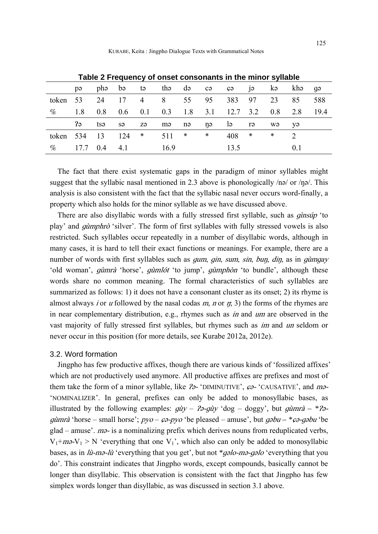|           | <b>TADIC 2 LICGACITY OF ORGE CONSOMATES IN THE MINUTE SYNCOL</b> |                            |           |                |      |           |        |              |        |        |     |      |
|-----------|------------------------------------------------------------------|----------------------------|-----------|----------------|------|-----------|--------|--------------|--------|--------|-----|------|
|           | pə                                                               |                            | phə bə    | tə i           |      | the de co |        | $c_{\Theta}$ | jə     | kə     | khə | qə   |
| token 53  |                                                                  | 24                         | 17        | $\overline{4}$ | 8    | 55        | 95     | 383          | 97     | 23     | 85  | 588  |
| $\%$      | 1.8                                                              | 0.8                        | $0.6$ 0.1 |                | 0.3  | 1.8       | 3.1    | 12.7 3.2     |        | 0.8    | 2.8 | 19.4 |
|           | P <sub>3</sub>                                                   | tsə                        | sə        | zə             | mə   | nə        | nə     | lə           | rə     | wə     | yə  |      |
| token 534 |                                                                  | 13                         | 124       | $\ast$         | 511  | $\ast$    | $\ast$ | 408          | $\ast$ | $\ast$ |     |      |
| $\%$      |                                                                  | $17.7 \quad 0.4 \quad 4.1$ |           |                | 16.9 |           |        | 13.5         |        |        | 0.1 |      |

**Table 2 Frequency of onset consonants in the minor syllable** 

The fact that there exist systematic gaps in the paradigm of minor syllables might suggest that the syllabic nasal mentioned in 2.3 above is phonologically  $/no/$  or  $/no/$ . This analysis is also consistent with the fact that the syllabic nasal never occurs word-finally, a property which also holds for the minor syllable as we have discussed above.

There are also disyllabic words with a fully stressed first syllable, such as *ginsup* 'to play' and *gumphro* 'silver'. The form of first syllables with fully stressed vowels is also restricted. Such syllables occur repeatedly in a number of disyllabic words, although in many cases, it is hard to tell their exact functions or meanings. For example, there are a number of words with first syllables such as *gum, gin, sum, sin, bun, din,* as in *gumgay* 'old woman', *gùmrà* 'horse', *gùmlót* 'to jump', *gùmphòn* 'to bundle', although these words share no common meaning. The formal characteristics of such syllables are summarized as follows: 1) it does not have a consonant cluster as its onset; 2) its rhyme is almost always *i* or *u* followed by the nasal codas  $m$ ,  $n$  or  $n$ ; 3) the forms of the rhymes are in near complementary distribution, e.g., rhymes such as *in* and *um* are observed in the vast majority of fully stressed first syllables, but rhymes such as im and un seldom or never occur in this position (for more details, see Kurabe 2012a, 2012e).

#### 3.2. Word formation

Jingpho has few productive affixes, though there are various kinds of 'fossilized affixes' which are not productively used anymore. All productive affixes are prefixes and most of them take the form of a minor syllable, like  $2\sigma$ -'DIMINUTIVE',  $\varphi$ -'CAUSATIVE', and ma-'NOMINALIZER'. In general, prefixes can only be added to monosyllabic bases, as illustrated by the following examples:  $q\partial y - \partial z - q\partial y' \partial \phi = \partial \phi g y'$ , but  $q\partial \phi = *2\partial \phi$ <sup>ɡ</sup>ùmrà 'horse – small horse'; pyo – ɕə-pyo 'be pleased – amuse', but ɡəbu *– \**ɕə-ɡəbu 'be  $g$ lad – amuse'.  $m\sigma$ - is a nominalizing prefix which derives nouns from reduplicated verbs,  $V_1+m\partial -V_1 > N$  'everything that one  $V_1$ ', which also can only be added to monosyllabic bases, as in lù-mə-lù 'everything that you get', but not *\**ɡəlo-m<sup>ə</sup>-ɡəlo 'everything that you do'. This constraint indicates that Jingpho words, except compounds, basically cannot be longer than disyllabic. This observation is consistent with the fact that Jingpho has few simplex words longer than disyllabic, as was discussed in section 3.1 above.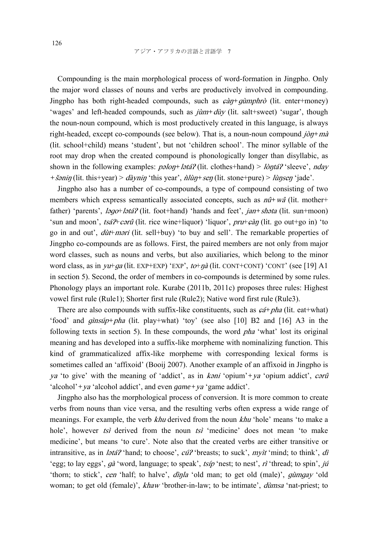Compounding is the main morphological process of word-formation in Jingpho. Only the major word classes of nouns and verbs are productively involved in compounding. Jingpho has both right-headed compounds, such as  $c\hat{a}\eta + g\hat{a}m\theta h\hat{b}$  (lit. enter+money) 'wages' and left-headed compounds, such as jùm*+*dùy (lit. salt+sweet) 'sugar', though the noun-noun compound, which is most productively created in this language, is always right-headed, except co-compounds (see below). That is, a noun-noun compound jòŋ*+*mà (lit. school+child) means 'student', but not 'children school'. The minor syllable of the root may drop when the created compound is phonologically longer than disyllabic, as shown in the following examples: *pəlon+ lətá?* (lit. clothes+hand) > lòntá? 'sleeve', nday *+*<sup>š</sup>əniŋ (lit. this+year) > dàyni<sup>ŋ</sup> 'this year', ǹlùŋ*+*se<sup>ŋ</sup> (lit. stone+pure) > lùŋse<sup>ŋ</sup> 'jade'.

Jingpho also has a number of co-compounds, a type of compound consisting of two members which express semantically associated concepts, such as  $n\hat{u} + w\hat{a}$  (lit. mother+ father) 'parents', ləgo+lətá? (lit. foot+hand) 'hands and feet', jan+shəta (lit. sun+moon) 'sun and moon', tsá?+cərû (lit. rice wine+liquor) 'liquor', pru+ $c\partial$ n (lit. go out+go in) 'to go in and out',  $d\hat{u}t + m\hat{v}$  (lit. sell+buy) 'to buy and sell'. The remarkable properties of Jingpho co-compounds are as follows. First, the paired members are not only from major word classes, such as nouns and verbs, but also auxiliaries, which belong to the minor word class, as in  $yu+ga$  (lit. EXP+EXP) 'EXP',  $to+\eta\dot{a}$  (lit. CONT+CONT) 'CONT' (see [19] A1 in section 5). Second, the order of members in co-compounds is determined by some rules. Phonology plays an important role. Kurabe (2011b, 2011c) proposes three rules: Highest vowel first rule (Rule1); Shorter first rule (Rule2); Native word first rule (Rule3).

There are also compounds with suffix-like constituents, such as  $c\acute{a} + p\acute{b}a$  (lit. eat+what) 'food' and ɡìnsúp*+*pha (lit. play+what) 'toy' (see also [10] B2 and [16] A3 in the following texts in section 5). In these compounds, the word *pha* 'what' lost its original meaning and has developed into a suffix-like morpheme with nominalizing function. This kind of grammaticalized affix-like morpheme with corresponding lexical forms is sometimes called an 'affixoid' (Booij 2007). Another example of an affixoid in Jingpho is ya 'to give' with the meaning of 'addict', as in <sup>k</sup>əni 'opium'*+*ya 'opium addict', c<sup>ə</sup>rû 'alcohol'*+*ya 'alcohol addict', and even *game+*ya 'game addict'.

Jingpho also has the morphological process of conversion. It is more common to create verbs from nouns than vice versa, and the resulting verbs often express a wide range of meanings. For example, the verb *khu* derived from the noun *khu* 'hole' means 'to make a hole', however tsi derived from the noun tsi 'medicine' does not mean 'to make medicine', but means 'to cure'. Note also that the created verbs are either transitive or intransitive, as in *latá?* 'hand; to choose',  $c\acute{u}$ ? 'breasts; to suck',  $m\gamma t$ ' 'mind; to think', di 'egg; to lay eggs',  $g\hat{a}$ 'word, language; to speak', tsíp 'nest; to nest', rì 'thread; to spin', jú 'thorn; to stick', *cen* 'half; to halve', *dìnla* 'old man; to get old (male)', *gùmgay* 'old woman; to get old (female)', khaw 'brother-in-law; to be intimate', *dùmsa* 'nat-priest; to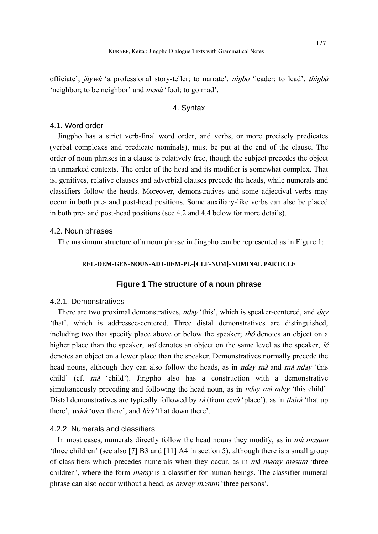officiate', jàywà 'a professional story-teller; to narrate', nìnbo 'leader; to lead', thìnbù 'neighbor; to be neighbor' and mənà 'fool; to go mad'.

### 4. Syntax

#### 4.1. Word order

Jingpho has a strict verb-final word order, and verbs, or more precisely predicates (verbal complexes and predicate nominals), must be put at the end of the clause. The order of noun phrases in a clause is relatively free, though the subject precedes the object in unmarked contexts. The order of the head and its modifier is somewhat complex. That is, genitives, relative clauses and adverbial clauses precede the heads, while numerals and classifiers follow the heads. Moreover, demonstratives and some adjectival verbs may occur in both pre- and post-head positions. Some auxiliary-like verbs can also be placed in both pre- and post-head positions (see 4.2 and 4.4 below for more details).

### 4.2. Noun phrases

The maximum structure of a noun phrase in Jingpho can be represented as in Figure 1:

### **REL-DEM-GEN-NOUN-ADJ-DEM-PL-[CLF-NUM]-NOMINAL PARTICLE**

### **Figure 1 The structure of a noun phrase**

#### 4.2.1. Demonstratives

There are two proximal demonstratives, *nday* 'this', which is speaker-centered, and *day* 'that', which is addressee-centered. Three distal demonstratives are distinguished, including two that specify place above or below the speaker; *tho* denotes an object on a higher place than the speaker,  $w\acute{o}$  denotes an object on the same level as the speaker, *lé* denotes an object on a lower place than the speaker. Demonstratives normally precede the head nouns, although they can also follow the heads, as in *nday mà* and *mà nday* 'this child' (cf. mà 'child'). Jingpho also has a construction with a demonstrative simultaneously preceding and following the head noun, as in *nday mà nday* 'this child'. Distal demonstratives are typically followed by rà (from  $\varphi$ <sup>+</sup> of 'place'), as in thórà 'that up there', wórà 'over there', and lérà 'that down there'.

#### 4.2.2. Numerals and classifiers

In most cases, numerals directly follow the head nouns they modify, as in mà mosum 'three children' (see also [7] B3 and [11] A4 in section 5), although there is a small group of classifiers which precedes numerals when they occur, as in mà məray məsum 'three children', where the form *maray* is a classifier for human beings. The classifier-numeral phrase can also occur without a head, as məray məsum 'three persons'.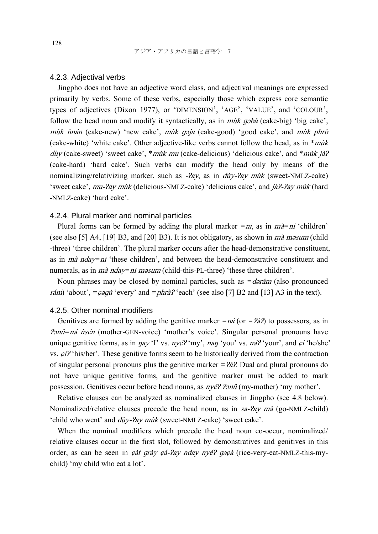### 4.2.3. Adjectival verbs

Jingpho does not have an adjective word class, and adjectival meanings are expressed primarily by verbs. Some of these verbs, especially those which express core semantic types of adjectives (Dixon 1977), or 'DIMENSION', 'AGE', 'VALUE', and 'COLOUR', follow the head noun and modify it syntactically, as in *mulk qabà* (cake-big) 'big cake', mùk  $\hat{n}$ nán (cake-new) 'new cake', mùk qaja (cake-good) 'good cake', and mùk phrò (cake-white) 'white cake'. Other adjective-like verbs cannot follow the head, as in  $*m\ddot{u}$ dùy (cake-sweet) 'sweet cake', \**mùk mu* (cake-delicious) 'delicious cake', and \**mùk jà*? (cake-hard) 'hard cake'. Such verbs can modify the head only by means of the nominalizing/relativizing marker, such as  $-2ay$ , as in  $div-2ay$  must (sweet-NMLZ-cake) 'sweet cake',  $mu$ - $\gamma$ ay mùk (delicious-NMLZ-cake) 'delicious cake', and  $j\frac{\partial}{\partial \gamma}$ - $\gamma$ ay mùk (hard -NMLZ-cake) 'hard cake'.

#### 4.2.4. Plural marker and nominal particles

Plural forms can be formed by adding the plural marker  $= ni$ , as in  $m\hat{a} = ni$  'children' (see also [5] A4, [19] B3, and [20] B3). It is not obligatory, as shown in  $m\hat{a}$  masum (child -three) 'three children'. The plural marker occurs after the head-demonstrative constituent, as in mà nday*=*ni 'these children', and between the head-demonstrative constituent and numerals, as in *mà nday*=ni məsum (child-this-PL-three) 'these three children'.

Noun phrases may be closed by nominal particles, such as *=*dərám (also pronounced *rám*) 'about',  $=\epsilon$ *ogù* 'every' and  $=\rho h r \frac{\partial}{\partial r}$  'each' (see also [7] B2 and [13] A3 in the text).

# 4.2.5. Other nominal modifiers

Genitives are formed by adding the genitive marker  $= n \hat{a}$  (or  $= 2 \hat{a}$ *z*) to possessors, as in *Panû=ná nsén* (mother-GEN-voice) 'mother's voice'. Singular personal pronouns have unique genitive forms, as in  $\eta ay'$  'I' vs.  $ny\acute{e}t'$  'my',  $n\alpha\eta'$  'you' vs.  $n\acute{a}t'$  'your', and  $\acute{\epsilon}t'$  'he/she' vs.  $\varphi \varphi'$  'his/her'. These genitive forms seem to be historically derived from the contraction of singular personal pronouns plus the genitive marker *=*  $\lambda$ *à*?. Dual and plural pronouns do not have unique genitive forms, and the genitive marker must be added to mark possession. Genitives occur before head nouns, as  $nye^{\gamma}$   $2\pi n\hat{i}$  (my-mother) 'my mother'.

Relative clauses can be analyzed as nominalized clauses in Jingpho (see 4.8 below). Nominalized/relative clauses precede the head noun, as in sa-*?ay mà* (go-NMLZ-child) 'child who went' and *dùy-?ay mùk* (sweet-NMLZ-cake) 'sweet cake'.

When the nominal modifiers which precede the head noun co-occur, nominalized/ relative clauses occur in the first slot, followed by demonstratives and genitives in this order, as can be seen in *çàt grày çá-?ay nday nyé? gəçà* (rice-very-eat-NMLZ-this-mychild) 'my child who eat a lot'.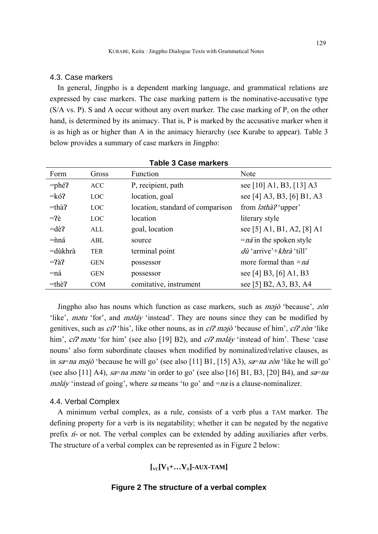#### 4.3. Case markers

In general, Jingpho is a dependent marking language, and grammatical relations are expressed by case markers. The case marking pattern is the nominative-accusative type (S/A vs. P). S and A occur without any overt marker. The case marking of P, on the other hand, is determined by its animacy. That is, P is marked by the accusative marker when it is as high as or higher than A in the animacy hierarchy (see Kurabe to appear). Table 3 below provides a summary of case markers in Jingpho:

| Form     | Gross      | Function                         | Note                              |
|----------|------------|----------------------------------|-----------------------------------|
| $=$ phé? | <b>ACC</b> | P, recipient, path               | see [10] A1, B3, [13] A3          |
| $=k6$ ?  | <b>LOC</b> | location, goal                   | see [4] A3, B3, [6] B1, A3        |
| $=$ thà? | LOC        | location, standard of comparison | from <i>latha?</i> 'upper'        |
| $=$ ?è   | <b>LOC</b> | location                         | literary style                    |
| $=$ dè?  | ALL.       | goal, location                   | see [5] A1, B1, A2, [8] A1        |
| $=$ nná  | ABL        | source                           | $=n\acute{a}$ in the spoken style |
| =dùkhrà  | <b>TER</b> | terminal point                   | $d\hat{u}$ 'arrive'+khrà 'till'   |
| $=$ ?à?  | <b>GEN</b> | possessor                        | more formal than $= n \hat{a}$    |
| =ná      | <b>GEN</b> | possessor                        | see [4] B3, [6] A1, B3            |
| $=$ thè? | <b>COM</b> | comitative, instrument           | see [5] B2, A3, B3, A4            |

**Table 3 Case markers** 

Jingpho also has nouns which function as case markers, such as m<sup>ə</sup>jò 'because', zòn 'like', *mətu* 'for', and *məláy* 'instead'. They are nouns since they can be modified by genitives, such as *cí* $\gamma$  'his', like other nouns, as in *cí* $\gamma$  majò 'because of him', *cí* $\gamma$  *zòn* 'like him', cí? mətu 'for him' (see also [19] B2), and cí? məláy 'instead of him'. These 'case nouns' also form subordinate clauses when modified by nominalized/relative clauses, as in sa=na məjò 'because he will go' (see also [11] B1, [15] A3), sa=na zòn 'like he will go' (see also [11] A4), sa=na mətu 'in order to go' (see also [16] B1, B3, [20] B4), and sa=na  $m$ əláy 'instead of going', where sa means 'to go' and  $= na$  is a clause-nominalizer.

### 4.4. Verbal Complex

A minimum verbal complex, as a rule, consists of a verb plus a TAM marker. The defining property for a verb is its negatability; whether it can be negated by the negative prefix <sup>ń</sup>- or not. The verbal complex can be extended by adding auxiliaries after verbs. The structure of a verbal complex can be represented as in Figure 2 below:

# $\left[\begin{matrix} V_C[V_1+\ldots V_n]\end{matrix}\right]$ -AUX-TAM]

### **Figure 2 The structure of a verbal complex**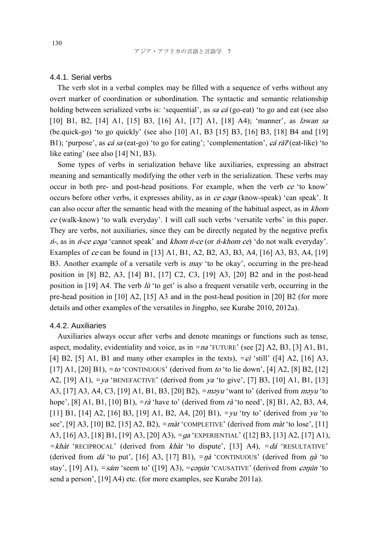### 4.4.1. Serial verbs

The verb slot in a verbal complex may be filled with a sequence of verbs without any overt marker of coordination or subordination. The syntactic and semantic relationship holding between serialized verbs is: 'sequential', as sa  $c\acute{a}$  (go-eat) 'to go and eat (see also [10] B1, B2, [14] A1, [15] B3, [16] A1, [17] A1, [18] A4); 'manner', as *lawan sa* (be.quick-go) 'to go quickly' (see also [10] A1, B3 [15] B3, [16] B3, [18] B4 and [19] B1); 'purpose', as  $\epsilon \acute{a}$  sa (eat-go) 'to go for eating'; 'complementation',  $\epsilon \acute{a}$  rà $\acute{c}$  (eat-like) 'to like eating' (see also [14] N1, B3).

Some types of verbs in serialization behave like auxiliaries, expressing an abstract meaning and semantically modifying the other verb in the serialization. These verbs may occur in both pre- and post-head positions. For example, when the verb  $ce$  'to know' occurs before other verbs, it expresses ability, as in ce  $\epsilon \rho qq$  (know-speak) 'can speak'. It can also occur after the semantic head with the meaning of the habitual aspect, as in *khom* ce (walk-know) 'to walk everyday'. I will call such verbs 'versatile verbs' in this paper. They are verbs, not auxiliaries, since they can be directly negated by the negative prefix  $n_1$ , as in *n-ce*  $\epsilon$  *as a* 'cannot speak' and *khom n-ce* (or *n-khom ce*) 'do not walk everyday'. Examples of ce can be found in [13] A1, B1, A2, B2, A3, B3, A4, [16] A3, B3, A4, [19] B3. Another example of a versatile verb is  $mav$  'to be okay', occurring in the pre-head position in [8] B2, A3, [14] B1, [17] C2, C3, [19] A3, [20] B2 and in the post-head position in [19] A4. The verb  $\hat{u}$  'to get' is also a frequent versatile verb, occurring in the pre-head position in [10] A2, [15] A3 and in the post-head position in [20] B2 (for more details and other examples of the versatiles in Jingpho, see Kurabe 2010, 2012a).

#### 4.4.2. Auxiliaries

Auxiliaries always occur after verbs and denote meanings or functions such as tense, aspect, modality, evidentiality and voice, as in *=*na 'FUTURE' (see [2] A2, B3, [3] A1, B1, [4] B2, [5] A1, B1 and many other examples in the texts),  $=\hat{\epsilon}$  'still' ([4] A2, [16] A3, [17] A1, [20] B1), *=*to 'CONTINUOUS' (derived from to 'to lie down', [4] A2, [8] B2, [12] A2, [19] A1), *=*ya 'BENEFACTIVE' (derived from ya 'to give', [7] B3, [10] A1, B1, [13] A3, [17] A3, A4, C3, [19] A1, B1, B3, [20] B2), *=*məyu 'want to' (derived from məyu 'to hope', [8] A1, B1, [10] B1), *=*rà 'have to' (derived from rà 'to need', [8] B1, A2, B3, A4, [11] B1, [14] A2, [16] B3, [19] A1, B2, A4, [20] B1), *=*yu 'try to' (derived from yu 'to see', [9] A3, [10] B2, [15] A2, B2), *=*màt 'COMPLETIVE' (derived from màt 'to lose', [11] A3, [16] A3, [18] B1, [19] A3, [20] A3), *=*<sup>ɡ</sup><sup>a</sup> 'EXPERIENTIAL' ([12] B3, [13] A2, [17] A1), *=*khàt 'RECIPROCAL' (derived from khàt 'to dispute', [13] A4), *=*dá 'RESULTATIVE' (derived from dá 'to put', [16] A3, [17] B1), *=*ŋ<sup>à</sup> 'CONTINUOUS' (derived from ŋ<sup>à</sup> 'to stay', [19] A1), *=sám* 'seem to' ([19] A3), =conún 'CAUSATIVE' (derived from conún 'to send a person', [19] A4) etc. (for more examples, see Kurabe 2011a).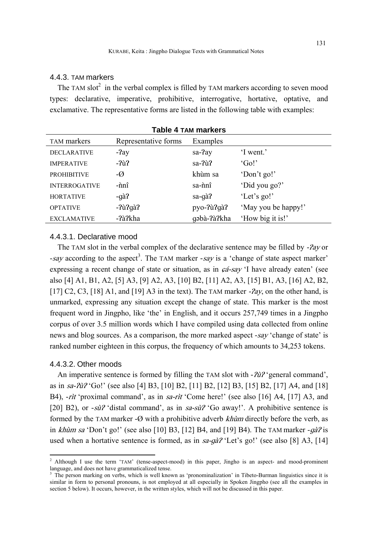### 4.4.3. TAM markers

The TAM slot<sup>2</sup> in the verbal complex is filled by TAM markers according to seven mood types: declarative, imperative, prohibitive, interrogative, hortative, optative, and exclamative. The representative forms are listed in the following table with examples:

| Table 4 TAM markers  |                      |             |                     |  |  |  |
|----------------------|----------------------|-------------|---------------------|--|--|--|
| <b>TAM</b> markers   | Representative forms | Examples    |                     |  |  |  |
| <b>DECLARATIVE</b>   | -?ay                 | sa-?ay      | 'I went.'           |  |  |  |
| <b>IMPERATIVE</b>    | $-2\hat{u}$          | sa-?ù?      | 'Go!                |  |  |  |
| <b>PROHIBITIVE</b>   | $-\varnothing$       | khùm sa     | 'Don't go!'         |  |  |  |
| <b>INTERROGATIVE</b> | -ñnî                 | sa-nnî      | 'Did you go?'       |  |  |  |
| <b>HORTATIVE</b>     | $-q\grave{a}$ ?      | sa-gà?      | 'Let's go!'         |  |  |  |
| <b>OPTATIVE</b>      | $-2\hat{u}$ ?gà?     | pyo-?ù?gà?  | 'May you be happy!' |  |  |  |
| <b>EXCLAMATIVE</b>   | -?à?kha              | qəbà-?à?kha | 'How big it is!'    |  |  |  |
|                      |                      |             |                     |  |  |  |

#### **Table 4 TAM markers**

#### 4.4.3.1. Declarative mood

The TAM slot in the verbal complex of the declarative sentence may be filled by  $-2ay$  or -say according to the aspect<sup>3</sup>. The TAM marker *-say* is a 'change of state aspect marker' expressing a recent change of state or situation, as in  $c\acute{a}$ -say 'I have already eaten' (see also [4] A1, B1, A2, [5] A3, [9] A2, A3, [10] B2, [11] A2, A3, [15] B1, A3, [16] A2, B2, [17] C2, C3, [18] A1, and [19] A3 in the text). The TAM marker - $Pay$ , on the other hand, is unmarked, expressing any situation except the change of state. This marker is the most frequent word in Jingpho, like 'the' in English, and it occurs 257,749 times in a Jingpho corpus of over 3.5 million words which I have compiled using data collected from online news and blog sources. As a comparison, the more marked aspect -say 'change of state' is ranked number eighteen in this corpus, the frequency of which amounts to 34,253 tokens.

### 4.4.3.2. Other moods

 $\overline{a}$ 

An imperative sentence is formed by filling the TAM slot with *- ?u?* 'general command', as in  $sa-\frac{\partial u}{\partial s}$  'Go!' (see also [4] B3, [10] B2, [11] B2, [12] B3, [15] B2, [17] A4, and [18] B4), *-rìt* 'proximal command', as in sa-rìt 'Come here!' (see also [16] A4, [17] A3, and [20] B2), or *-sù*? 'distal command', as in sa-sù? 'Go away!'. A prohibitive sentence is formed by the TAM marker *-*Ø with a prohibitive adverb khùm directly before the verb, as in *khùm sa* 'Don't go!' (see also [10] B3, [12] B4, and [19] B4). The TAM marker  $-q\hat{a}$ ? is used when a hortative sentence is formed, as in  $sa-g\hat{a}^2$  'Let's go!' (see also [8] A3, [14]

<sup>&</sup>lt;sup>2</sup> Although I use the term 'TAM' (tense-aspect-mood) in this paper, Jingho is an aspect- and mood-prominent language, and does not have grammaticalized tense.

<sup>&</sup>lt;sup>3</sup> The person marking on verbs, which is well known as 'pronominalization' in Tibeto-Burman linguistics since it is similar in form to personal pronouns, is not employed at all especially in Spoken Jingpho (see all the examples in section 5 below). It occurs, however, in the written styles, which will not be discussed in this paper.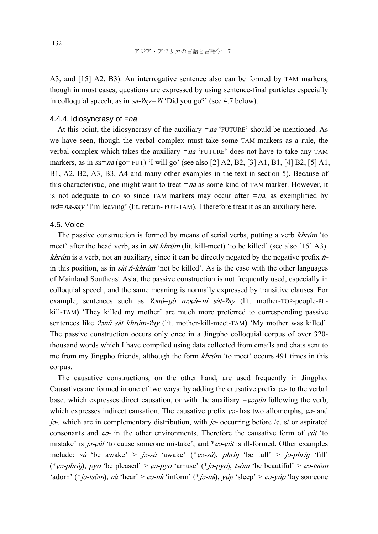A3, and [15] A2, B3). An interrogative sentence also can be formed by TAM markers, though in most cases, questions are expressed by using sentence-final particles especially in colloquial speech, as in  $sa-2ay=2i$  'Did you go?' (see 4.7 below).

#### 4.4.4. Idiosyncrasy of *=na*

At this point, the idiosyncrasy of the auxiliary *=*na 'FUTURE' should be mentioned. As we have seen, though the verbal complex must take some TAM markers as a rule, the verbal complex which takes the auxiliary *=*na 'FUTURE' does not have to take any TAM markers, as in sa*=*na (go= FUT) 'I will go' (see also [2] A2, B2, [3] A1, B1, [4] B2, [5] A1, B1, A2, B2, A3, B3, A4 and many other examples in the text in section 5). Because of this characteristic, one might want to treat *=*na as some kind of TAM marker. However, it is not adequate to do so since TAM markers may occur after  $= na$ , as exemplified by wà=na-say 'I'm leaving' (lit. return- FUT-TAM). I therefore treat it as an auxiliary here.

#### 4.5. Voice

The passive construction is formed by means of serial verbs, putting a verb *khrúm* 'to meet' after the head verb, as in *sàt khrúm* (lit. kill-meet) 'to be killed' (see also [15] A3). *khrúm* is a verb, not an auxiliary, since it can be directly negated by the negative prefix  $n<sup>2</sup>$ in this position, as in *sàt h-khrúm* 'not be killed'. As is the case with the other languages of Mainland Southeast Asia, the passive construction is not frequently used, especially in colloquial speech, and the same meaning is normally expressed by transitive clauses. For example, sentences such as  $2\pi r^2 = q\delta$  maga is sat- $2\pi y$  (lit. mother-TOP-people-PLkill-TAM**)** 'They killed my mother' are much more preferred to corresponding passive sentences like *?ənû sàt khrúm-?ay* (lit. mother-kill-meet-TAM) 'My mother was killed'. The passive construction occurs only once in a Jingpho colloquial corpus of over 320 thousand words which I have compiled using data collected from emails and chats sent to me from my Jingpho friends, although the form *khrúm* 'to meet' occurs 491 times in this corpus.

The causative constructions, on the other hand, are used frequently in Jingpho. Causatives are formed in one of two ways: by adding the causative prefix  $\varphi$ - to the verbal base, which expresses direct causation, or with the auxiliary  $=\epsilon \epsilon \frac{\partial \eta}{\partial n}$  following the verb, which expresses indirect causation. The causative prefix  $\varphi$ - has two allomorphs,  $\varphi$ - and jə-, which are in complementary distribution, with jə- occurring before  $\zeta$ , s/ or aspirated consonants and  $\varphi$ - in the other environments. Therefore the causative form of  $\varphi$ it 'to mistake' is  $j\partial$ - $\epsilon \hat{u}t$ ' to cause someone mistake', and  $*\epsilon \partial$ - $\epsilon \hat{u}t$  is ill-formed. Other examples include: sù 'be awake' > jə-sù 'awake' (\* $\epsilon \rightarrow$  'es $\epsilon$ n), phrí $\eta$  'be full' > jə-phrí $\eta$  'fill' (\* $\epsilon \varphi$ -phrín), pyo 'be pleased' >  $\varphi$ -pyo 'amuse' (\* $j \varphi$ -pyo), tsòm 'be beautiful' >  $\varphi$ -tsòm 'adorn' (\*jə-tsòm), nà 'hear' >  $\varphi$ -nà 'inform' (\*jə-nà), yúp 'sleep' >  $\varphi$ -yúp 'lay someone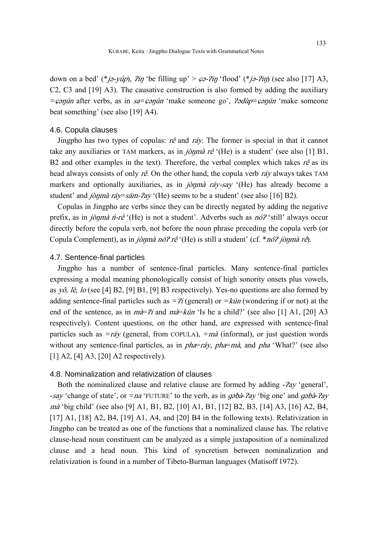down on a bed' (\*jə-yúp),  $\lim_{h \to 0}$  'be filling up' >  $\lim_{h \to 0}$  'flood' (\*jə- $\lim_{h \to 0}$  (see also [17] A3, C2, C3 and [19] A3). The causative construction is also formed by adding the auxiliary *=*ɕəŋún after verbs, as in sa*=*ɕəŋún 'make someone go', Ɂədùp*=*ɕəŋún 'make someone beat something' (see also [19] A4).

#### 4.6. Copula clauses

Jingpho has two types of copulas:  $r\hat{e}$  and  $r\hat{a}y$ . The former is special in that it cannot take any auxiliaries or TAM markers, as in *jònmà rê* '(He) is a student' (see also [1] B1, B2 and other examples in the text). Therefore, the verbal complex which takes  $r\hat{e}$  as its head always consists of only  $r\hat{e}$ . On the other hand, the copula verb  $r\hat{a}y$  always takes TAM markers and optionally auxiliaries, as in *jònmà ráy-say* '(He) has already become a student' and jònmà ráy=sám- $2ay$  (He) seems to be a student' (see also [16] B2).

Copulas in Jingpho are verbs since they can be directly negated by adding the negative prefix, as in *jònmà n-rê* '(He) is not a student'. Adverbs such as  $n\delta$ ? 'still' always occur directly before the copula verb, not before the noun phrase preceding the copula verb (or Copula Complement), as in jònmà nó? rê '(He) is still a student' (cf. \* nó? jònmà rê).

#### 4.7. Sentence-final particles

Jingpho has a number of sentence-final particles. Many sentence-final particles expressing a modal meaning phonologically consist of high sonority onsets plus vowels, as  $y\hat{o}$ , lè, lo (see [4] B2, [9] B1, [9] B3 respectively). Yes-no questions are also formed by adding sentence-final particles such as  $=$   $\frac{2}{i}$  (general) or  $=$   $k$ *un* (wondering if or not) at the end of the sentence, as in  $m\ddot{\hat{i}}$  and  $m\ddot{\hat{j}}$  and  $m\ddot{\hat{j}}$  is he a child?' (see also [1] A1, [20] A3 respectively). Content questions, on the other hand, are expressed with sentence-final particles such as *=*ráy (general, from COPULA), *=*mà (informal), or just question words without any sentence-final particles, as in  $pha=rráy$ ,  $pha=ma$ , and  $pha$  'What?' (see also [1] A2, [4] A3, [20] A2 respectively).

# 4.8. Nominalization and relativization of clauses

Both the nominalized clause and relative clause are formed by adding  $-2ay$  'general', -say 'change of state', or *=na* 'FUTURE' to the verb, as in *gsbà-?ay* 'big one' and *gsbà-?ay* mà 'big child' (see also [9] A1, B1, B2, [10] A1, B1, [12] B2, B3, [14] A3, [16] A2, B4, [17] A1, [18] A2, B4, [19] A1, A4, and [20] B4 in the following texts). Relativization in Jingpho can be treated as one of the functions that a nominalized clause has. The relative clause-head noun constituent can be analyzed as a simple juxtaposition of a nominalized clause and a head noun. This kind of syncretism between nominalization and relativization is found in a number of Tibeto-Burman languages (Matisoff 1972).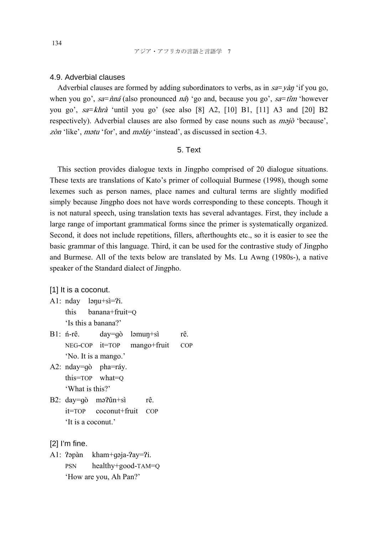### 4.9. Adverbial clauses

Adverbial clauses are formed by adding subordinators to verbs, as in sa*=*yà<sup>ŋ</sup> 'if you go, when you go',  $sa=\hat{n}n\hat{a}$  (also pronounced  $n\hat{a}$ ) 'go and, because you go',  $sa=\hat{t}n\hat{n}$  'however you go', sa*=*khrà 'until you go' (see also [8] A2, [10] B1, [11] A3 and [20] B2 respectively). Adverbial clauses are also formed by case nouns such as *majo* 'because', zòn 'like', mətu 'for', and məláy 'instead', as discussed in section 4.3.

#### 5. Text

This section provides dialogue texts in Jingpho comprised of 20 dialogue situations. These texts are translations of Kato's primer of colloquial Burmese (1998), though some lexemes such as person names, place names and cultural terms are slightly modified simply because Jingpho does not have words corresponding to these concepts. Though it is not natural speech, using translation texts has several advantages. First, they include a large range of important grammatical forms since the primer is systematically organized. Second, it does not include repetitions, fillers, afterthoughts etc., so it is easier to see the basic grammar of this language. Third, it can be used for the contrastive study of Jingpho and Burmese. All of the texts below are translated by Ms. Lu Awng (1980s-), a native speaker of the Standard dialect of Jingpho.

[1] It is a coconut.

- A1:  $nday$  lə $qu+si=?i$ . this banana+fruit=Q 'Is this a banana?'
- B1: *n*-rê. day=gò ləmun+sì rê. NEG-COP it=TOP mango+fruit COP 'No. It is a mango.'
- A2: nday=ɡò pha=ráy. this=TOP what=Q 'What is this?'
- B2: day=qò mə?ûn+sì rê. it=TOP coconut+fruit COP 'It is a coconut.'

#### [2] I'm fine.

A1: ?əpàn kham+gəja-?ay=?i. PSN healthy+good-TAM=Q 'How are you, Ah Pan?'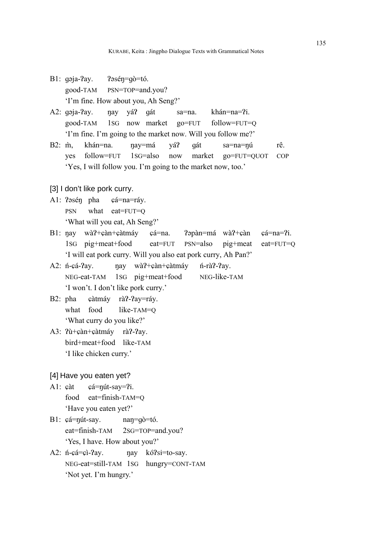- B1: gəja-?ay. ?əsén=gò=tó. good-TAM PSN=TOP=and.you? 'I'm fine. How about you, Ah Seng?'
- A2: gəja-?ay. nay yá? gát sa=na. khán=na=?i. good-TAM 1SG now market go=FUT follow=FUT=Q 'I'm fine. I'm going to the market now. Will you follow me?'
- B2: m̀, khán=na. nav=má vá? gát sa=na=nú rê. yes follow=FUT 1SG=also now market go=FUT=QUOT COP 'Yes, I will follow you. I'm going to the market now, too.'

### [3] I don't like pork curry.

- A1: Pasén pha cá=na=ráy. PSN what eat=FUT=Q 'What will you eat, Ah Seng?'
- B1: nay wà?+ $\epsilon$ àn+ $\epsilon$ àtmáy  $\epsilon$ á=na. ?əpàn=má wà?+ $\epsilon$ àn  $\epsilon$ á=na=?i. 1SG pig+meat+food eat=FUT PSN=also pig+meat eat=FUT=Q 'I will eat pork curry. Will you also eat pork curry, Ah Pan?'
- A2: ń-cá-?ay. nay wà?+càn+càtmáy ń-rà?-?ay. NEG-eat-TAM 1SG pig+meat+food NEG-like-TAM 'I won't. I don't like pork curry.'
- B2: pha càtmáy rà?-?ay=ráy. what food like-TAM=O 'What curry do you like?'
- A3: ?ù+càn+càtmáy rà?-?ay. bird+meat+food like-TAM 'I like chicken curry.'

### [4] Have you eaten yet?

- A1: càt cá=nút-say=?i. food eat=finish-TAM=Q 'Have you eaten yet?'
- B1:  $\varphi$ á=nút-say. nan=gò=tó. eat=finish-TAM 2SG=TOP=and.you? 'Yes, I have. How about you?'
- A2: *n*-ca = ci ? ay. <br>nay kó?si = to-say. NEG-eat=still-TAM 1SG hungry=CONT-TAM 'Not yet. I'm hungry.'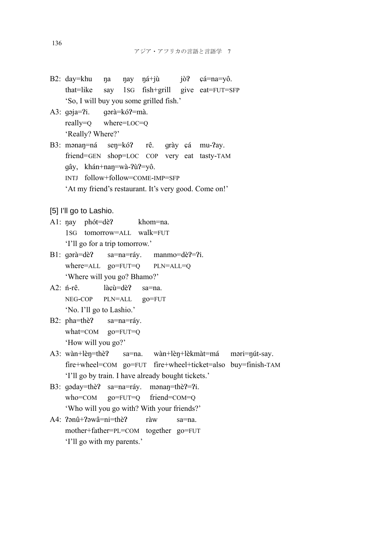- B2: day=khu na nay ná+jù jò? cá=na=yô. that=like say 1SG fish+grill give eat=FUT=SFP 'So, I will buy you some grilled fish.'
- A3: gəja=?i. gərà=kó?=mà. really=Q where=LOC=Q 'Really? Where?'
- B3: mənan=ná sen=kó? rê. qrày çá mu-?ay. friend= GEN shop=LOC COP very eat tasty-TAM ɡây, khán+naŋ=wà-ɁùɁ=yô. INTJ follow+follow=COME-IMP=SFP 'At my friend's restaurant. It's very good. Come on!'

[5] I'll go to Lashio.

- A1: nay phót=dè? khom=na. 1SG tomorrow=ALL walk=FUT 'I'll go for a trip tomorrow.'
- B1: gərà=dè? sa=na=ráy. manmo=dè?=?i. where=ALL go=FUT=Q PLN=ALL=Q 'Where will you go? Bhamo?'
- A2: n<sup>-rê</sup>. làcù=dè? sa=na. NEG-COP PLN=ALL go=FUT 'No. I'll go to Lashio.'
- B2: pha=thè? sa=na=ráy. what=COM go=FUT=Q 'How will you go?'
- A3: wàn+lèn=thè? sa=na. wàn+lèn+lèkmàt=má məri=nút-say. fire+wheel=COM go=FUT fire+wheel+ticket=also buy=finish-TAM 'I'll go by train. I have already bought tickets.'
- B3: gəday=thè? sa=na=ráy. mənan=thè?=?i. who=COM go=FUT=Q friend=COM=Q 'Who will you go with? With your friends?'
- A4:  $?ənû+?əwâ=ni=thè?$  ràw sa=na. mother+father=PL=COM together go=FUT 'I'll go with my parents.'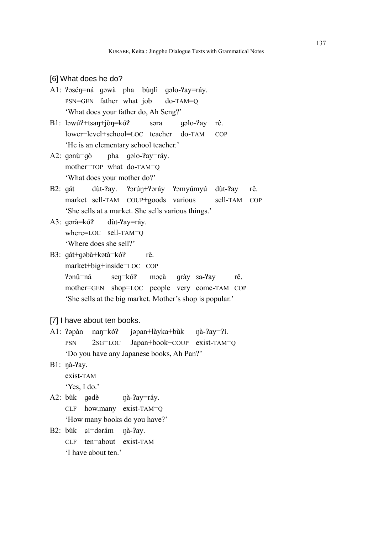[6] What does he do?

- A1: ?əsén=ná qəwà pha bùnlì qəlo-?ay=ráy. PSN=GEN father what job do-TAM=Q 'What does your father do, Ah Seng?'
- B1: ləwú?+tsan+jòn=kó? səra gəlo-?ay rê. lower+level+school=LOC teacher do-TAM COP 'He is an elementary school teacher.'
- A2:  $q \cdot \hat{q}$  $\hat{q}$   $\hat{q}$   $\hat{q}$   $\hat{q}$   $\hat{q}$   $\hat{q}$   $\hat{q}$   $\hat{q}$   $\hat{q}$   $\hat{q}$   $\hat{q}$   $\hat{q}$   $\hat{q}$   $\hat{q}$   $\hat{q}$   $\hat{q}$   $\hat{q}$   $\hat{q}$   $\hat{q}$   $\hat{q}$   $\hat{q}$   $\hat{q}$   $\hat{q}$   $\hat{q}$   $\hat{q}$   $\hat{q}$  mother=TOP what do-TAM=Q 'What does your mother do?'
- B2: gát dùt-?ay. ?ərún+?əráy ?əmyúmyú dùt-?ay rê. market sell-TAM COUP+goods various sell-TAM COP 'She sells at a market. She sells various things.'
- A3: gərà=kó? dùt-?ay=ráy. where=LOC sell-TAM=Q 'Where does she sell?'
- B3: gát+gəbà+kətà=kó? rê. market+big+inside=LOC COP ?ənû=ná sen=kó? məçà grày sa-?ay rê. mother=GEN shop=LOC people very come-TAM COP 'She sells at the big market. Mother's shop is popular.'

[7] I have about ten books.

- A1:  $?$ əpàn nan=kó? jəpan+làyka+bùk nà- $?a$ y= $?i$ . PSN 2SG=LOC Japan+book+COUP exist-TAM=Q 'Do you have any Japanese books, Ah Pan? '
- B1: nà-?av.

exist-TAM

'Yes, I do.'

- A2: bùk qədè nà-?ay=ráy. CLF how.many exist-TAM=Q 'How many books do you have?'
- B2: bùk ci=dərám nà-?ay. CLF ten=about exist-TAM 'I have about ten.'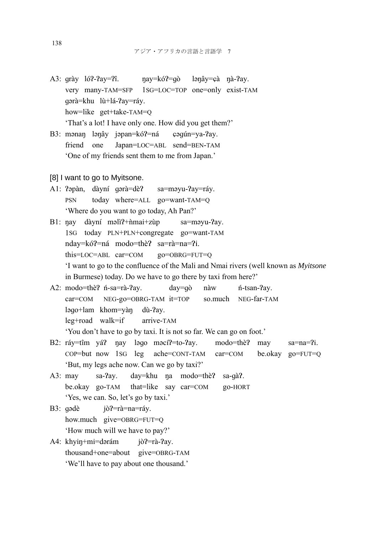- A3:  $\alpha$ rày ló?- $\alpha$ <sub>2</sub>y= $\gamma$ î. nay=kó?= $\alpha$  lənây= $\alpha$ à nà- $\gamma$ ay. very many-TAM=SFP 1SG=LOC=TOP one=only exist-TAM ɡərà=khu lù+lá-Ɂay=ráy. how=like get+take-TAM=Q 'That's a lot! I have only one. How did you get them?'
- B3: mənan lənây jəpan=kó?=ná çəqun=ya-?ay. friend one Japan=LOC=ABL send=BEN-TAM 'One of my friends sent them to me from Japan.'
- [8] I want to go to Myitsone.
- A1: ?apàn, dàyní qərà=dè? sa=məyu-?ay=ráy. PSN today where=ALL go=want-TAM=Q 'Where do you want to go today, Ah Pan?'
- B1: nay dàyní məlì?+nìmai+zùp sa=məyu-?ay. 1SG today PLN+PLN+congregate go=want-TAM nday=kó?=ná modo=thè? sa=rà=na=?i. this=LOC=ABL car=COM go=OBRG=FUT=Q 'I want to go to the confluence of the Mali and Nmai rivers (well known as *Myitsone* in Burmese) today. Do we have to go there by taxi from here?'
- A2: modo=thè? n-sa=rà-?ay. day=gò nàw n-tsan-?ay. car=COM NEG-go=OBRG-TAM it=TOP so.much NEG-far-TAM ləgo+lam khom=yàn dù-?ay. leg+road walk=if arrive-TAM 'You don't have to go by taxi. It is not so far. We can go on foot.'
- B2: ráy=tîm yá? nay ləgo məcí?=to-?ay. modo=thè? may sa=na=?i. COP=but now 1SG leg ache=CONT-TAM car=COM be.okay go=FUT=Q 'But, my legs ache now. Can we go by taxi?'
- A3: may sa-?ay. day=khu na modo=thè? sa-gà?. be.okay go-TAM that=like say car=COM go-HORT 'Yes, we can. So, let's go by taxi.'
- B3: gədè jò?=rà=na=ráy. how.much give=OBRG=FUT=Q 'How much will we have to pay?'
- A4: khyin+mi=dərám jò?=rà-?ay. thousand+one=about give=OBRG-TAM 'We'll have to pay about one thousand.'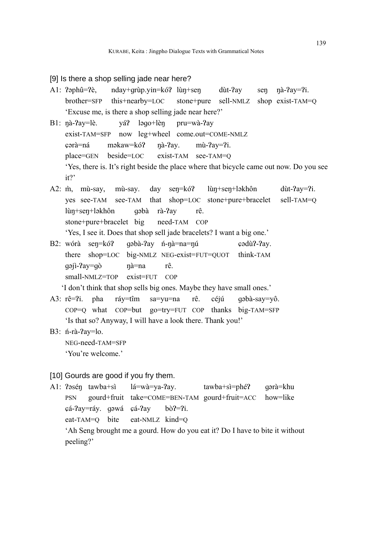#### [9] Is there a shop selling jade near here?

- A1:  $?$ əphû= $?$ è, nday+grùp.yin=kó? lùn+sen dùt- $?$ ay sen nà- $?$ ay= $?$ i. brother=SFP this+nearby=LOC stone+pure sell-NMLZ shop exist-TAM=Q 'Excuse me, is there a shop selling jade near here?'
- B1: nà-?ay=lè. yá? ləgo+lèn pru=wà-?ay exist-TAM=SFP now leg+wheel come.out=COME-NMLZ  $\epsilon$ ərà=ná məkaw=kó? nà-?ay. mù-?ay=?i. place=GEN beside=LOC exist-TAM see-TAM=Q 'Yes, there is. It's right beside the place where that bicycle came out now. Do you see it?'
- A2: m̂, mù-say, mù-say. day sen=kó? lùn+sen+ləkhôn dùt-?ay=?i. yes see-TAM see-TAM that shop=LOC stone+pure+bracelet sell-TAM=Q lùn+sen+ləkhôn qəbà rà-?ay rê. stone+pure+bracelet big need-TAM COP 'Yes, I see it. Does that shop sell jade bracelets? I want a big one.'
- B2: wórà sen=kó? gəbà-?ay n-nà=na=nu cədù?-?ay. there shop=LOC big-NMLZ NEG-exist=FUT=QUOT think-TAM qəji-?ay=qò nà=na rê. small-NMLZ=TOP exist=FUT COP

'I don't think that shop sells big ones. Maybe they have small ones.'

- A3: rê=?i. pha ráy=tîm sa=yu=na rê. céjú gəbà-say=yô. COP=Q what COP=but go=try=FUT COP thanks big-TAM=SFP 'Is that so? Anyway, I will have a look there. Thank you!'
- B3: ń-rà-?ay=lo.

NEG-need-TAM=SFP

'You're welcome.'

### [10] Gourds are good if you fry them.

A1: ?əsén tawba+sì lá=wà=ya-?ay. tawba+sì=phé? qərà=khu PSN gourd+fruit take=COME=BEN-TAM gourd+fruit=ACC how=like çá-?ay=ráy. gəwá çá-?ay bò?=?i. eat-TAM=Q bite eat-NMLZ kind=Q

 'Ah Seng brought me a gourd. How do you eat it? Do I have to bite it without peeling?'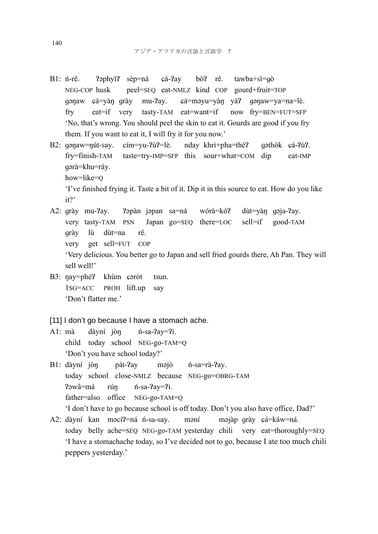- B1: n<sup>-rê</sup>. ?əphyì? sèp=ná cá-?ay bò? rê. tawba+sì=qò NEG-COP husk peel=SEQ eat-NMLZ kind COP gourd+fruit=TOP qənaw çá=yàn qrày mu-?ay. çá=məyu=yàn yá? qənaw=ya=na=lè. fry eat=if very tasty-TAM eat=want=if now fry=BEN=FUT=SFP 'No, that's wrong. You should peel the skin to eat it. Gourds are good if you fry them. If you want to eat it, I will fry it for you now.'
- B2: gənaw=nút-say. cím=yu-?ù?=lè. nday khri+pha=thè? gəthòk çá-?ù?. fry=finish-TAM taste=try-IMP=SFP this sour+what=COM dip eat-IMP ɡərà=khu=ráy. how=like=Q 'I've finished frying it. Taste a bit of it. Dip it in this source to eat. How do you like it?'
- A2: grày mu-?ay. ?əpàn jəpan sa=ná wórà=kó? dùt=yàn gəja-?ay. very tasty-TAM PSN Japan go=SEQ there=LOC sell=if good-TAM ɡrày lù dùt=na rê. very get sell=FUT COP 'Very delicious. You better go to Japan and sell fried gourds there, Ah Pan. They will sell well!'
- B3: nay=phé? khùm caròt tsun. 1SG=ACC PROH lift.up say 'Don't flatter me.'

### [11] I don't go because I have a stomach ache.

- A1:  $m\hat{a}$  dàyní jòn *n*-sa- $2a$ y= $2i$ . child today school NEG-go-TAM=Q 'Don't you have school today?'
- B1: dàyní jòn pát-?ay məjò *n*-sa=rà-?ay. today school close-NMLZ because NEG-go=OBRG-TAM ?əwâ=má rún *f*i-sa-?ay=?i. father=also office NEG-go-TAM=Q

'I don't have to go because school is off today. Don't you also have office, Dad?'

A2: dàyní kan məcí?=ná n-sa-say. məní məjàp qrày çá=káw=ná. today belly ache=SEQ NEG-go-TAM yesterday chili very eat=thoroughly=SEQ 'I have a stomachache today, so I've decided not to go, because I ate too much chili peppers yesterday.'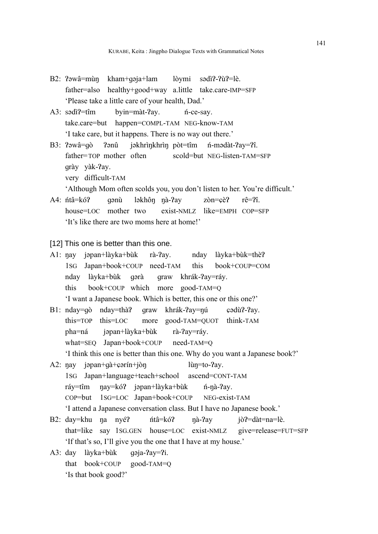- B2: ?əwâ=mùn kham+qəja+lam lòymi sədì?-?ù?=lè. father=also healthy+good+way a.little take.care-IMP=SFP 'Please take a little care of your health, Dad.'
- A3: sədì?=tîm byin=màt-?ay. *n*-ce-say. take.care=but happen=COMPL-TAM NEG-know-TAM 'I take care, but it happens. There is no way out there.'
- B3: ?əwâ=qò ?ənû jəkhrìnkhrìn pòt=tîm *ń*-mədàt-?ay=?î. father=TOP mother often scold=but NEG-listen-TAM=SFP grày yàk-?ay. very difficult-TAM

'Although Mom often scolds you, you don't listen to her. You're difficult.'

A4: *ńtâ=kó?* gənù ləkhôn nà-?ay zòn=çè? rê=?î. house=LOC mother two exist-NMLZ like=EMPH COP=SFP 'It's like there are two moms here at home!'

[12] This one is better than this one.

- A1: nay jəpan+làyka+bùk rà-?ay. nday làyka+bùk=thè? 1SG Japan+book+COUP need-TAM this book+COUP=COM nday làyka+bùk qərà qraw khrák-?ay=ráy. this book+COUP which more good-TAM=Q 'I want a Japanese book. Which is better, this one or this one?'
- B1: nday=qò nday=thà? qraw khrák-?ay=nú cədù?-?ay. this=TOP this=LOC more good-TAM=QUOT think-TAM pha=ná jəpan+làyka+bùk rà-?ay=ráy. what=SEQ Japan+book+COUP need-TAM=Q 'I think this one is better than this one. Why do you want a Japanese book?'
- A2:  $\eta$ ay jəpan+qà+ $\varphi$ ərín+jòn lùn=to- $\eta$ ay. 1SG Japan+language+teach+school ascend=CONT-TAM ráy=tîm nay=kó? jəpan+làyka+bùk *n*-nà-?ay. COP=but 1SG=LOC Japan+book+COUP NEG-exist-TAM 'I attend a Japanese conversation class. But I have no Japanese book.'
- B2: day=khu na nyé? ntâ=kó? na-?ay jò?=dàt=na=lè. that=like say 1SG.GEN house=LOC exist-NMLZ give=release=FUT=SFP 'If that's so, I'll give you the one that I have at my house.'
- A3: day làyka+bùk qoja-?ay=?i. that book+COUP good-TAM=Q 'Is that book good?'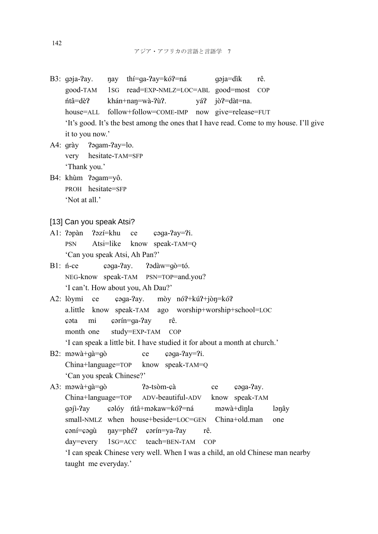- B3: gəja-?ay. nay thí=ga-?ay=kó?=ná gəja=dìk rê. good-TAM 1SG read=EXP-NMLZ=LOC=ABL good=most COP ńtâ=dèɁ khán+naŋ=wà-ɁùɁ. yáɁ jòɁ=dàt=na. house=ALL follow+follow=COME-IMP now give=release=FUT 'It's good. It's the best among the ones that I have read. Come to my house. I'll give it to you now.'
- A4: grày ?agam-?ay=lo. very hesitate-TAM=SFP 'Thank you.'
- B4: khùm ?aqam=yô. PROH hesitate=SFP 'Not at all.'
- [13] Can you speak Atsi?
- A1: ?əpàn ?əzí=khu ce cəqa-?ay=?i. PSN Atsi=like know speak-TAM=Q 'Can you speak Atsi, Ah Pan?'
- B1: n-ce caga-?ay. ?adàw=gò=tó. NEG-know speak-TAM PSN=TOP=and.you? 'I can't. How about you, Ah Dau?'
- A2: lòymi ce caga-?ay. mòy nó?+kú?+jòn=kó? a.little know speak-TAM ago worship+worship+school=LOC ɕəta mi ɕərín=ɡa-Ɂay rê. month one study=EXP-TAM COP 'I can speak a little bit. I have studied it for about a month at church.'
- B2:  $m \rightarrow \alpha + q \rightarrow \alpha + q \rightarrow \alpha + q \rightarrow \alpha + q \rightarrow \alpha + q \rightarrow \alpha + q \rightarrow \alpha + q \rightarrow \alpha + q \rightarrow \alpha + q \rightarrow \alpha + q \rightarrow \alpha + q \rightarrow \alpha + q \rightarrow \alpha + q \rightarrow \alpha + q \rightarrow \alpha + q \rightarrow \alpha + q \rightarrow \alpha + q \rightarrow \alpha + q \rightarrow \alpha + q \rightarrow \alpha + q \rightarrow \alpha + q \rightarrow \alpha + q \rightarrow \alpha + q \rightarrow \alpha + q \rightarrow \alpha + q \rightarrow \alpha + q \rightarrow \alpha + q \rightarrow \alpha + q \rightarrow \alpha + q \rightarrow \alpha + q \rightarrow \alpha + q \rightarrow \alpha + q \rightarrow \alpha + q \rightarrow \alpha + q \rightarrow \alpha + q \rightarrow \alpha +$  China+language=TOP know speak-TAM=Q 'Can you speak Chinese?'

```
A3: məwà+qà=qò ?ə-tsòm-c\hat{a} ce c \triangleleft a-?ay.
 China+language=TOP ADV-beautiful-ADV know speak-TAM
gəji-?ay çəlóy ntâ+məkaw=kó?=ná məwà+dìnla lənây
 small-NMLZ when house+beside=LOC=GEN China+old.man one 
\epsilonəní=\epsilonəqù nay=phé? \epsilonərín=ya-?ay rê.
 day=every 1SG=ACC teach=BEN-TAM COP
 'I can speak Chinese very well. When I was a child, an old Chinese man nearby 
 taught me everyday.'
```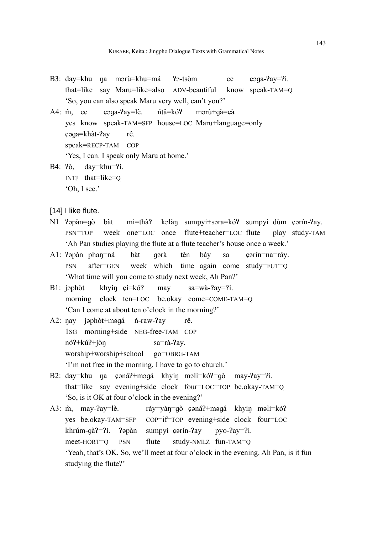- B3: day=khu na mərù=khu=má ?ə-tsòm ce çəqa-?ay=?i. that=like say Maru=like=also ADV-beautiful know speak-TAM=Q 'So, you can also speak Maru very well, can't you?'
- A4: m̀, ce caga-?ay=lè, ntâ=kó? marù+gà=cà yes know speak-TAM=SFP house=LOC Maru+language=only ɕəɡa=khàt-Ɂay rê. speak=RECP-TAM COP 'Yes, I can. I speak only Maru at home.'
- B4: ?ò, day=khu=?i. INTJ that=like=Q 'Oh, I see.'
- [14] I like flute.
- N1 ?əpàn=qò bàt mi=thà? kəlàn sumpyi+səra=kó? sumpyi dùm çərín-?ay. PSN=TOP week one=LOC once flute+teacher=LOC flute play study-TAM 'Ah Pan studies playing the flute at a flute teacher's house once a week.'
- A1: Papàn phan=ná bàt gərà tèn báy sa çərín=na=ráy. PSN after=GEN week which time again come study=FUT=Q 'What time will you come to study next week, Ah Pan?'
- B1: jəphòt khyin çi=kó? may sa=wà-?ay=?i. morning clock ten=LOC be.okay come=COME-TAM=Q 'Can I come at about ten o'clock in the morning?'
- A2: nay jəphòt+məqá *n*-raw-?ay rê. 1SG morning+side NEG-free-TAM COP nó?+kú?+jòn sa=rà-?ay. worship+worship+school go=OBRG-TAM 'I'm not free in the morning. I have to go to church.'
- B2: day=khu na çəná?+məqá khyin məli=kó?=qò may-?ay=?i. that=like say evening+side clock four=LOC=TOP be.okay-TAM=Q 'So, is it OK at four o'clock in the evening?'
- A3: m̀, may-?ay=lè. ráy=yàn=gò çəná?+məgá khyin məli=kó? yes be.okay-TAM=SFP COP=if=TOP evening+side clock four=LOC khrúm-gà?=?i. ?əpàn sumpyi çərín-?ay pyo-?ay=?i. meet-HORT=Q PSN flute study-NMLZ fun-TAM=Q 'Yeah, that's OK. So, we'll meet at four o'clock in the evening. Ah Pan, is it fun studying the flute?'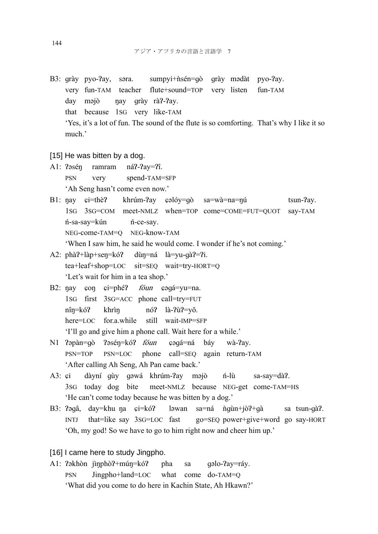- B3: grày pyo-?ay, səra. sumpyi+ñsén=qò grày mədàt pyo-?ay. very fun-TAM teacher flute+sound=TOP very listen fun-TAM day məjò nay qrày rà?-?ay. that because 1SG very like-TAM 'Yes, it's a lot of fun. The sound of the flute is so comforting. That's why I like it so much.'
- [15] He was bitten by a dog.
- A1: Pasén ramram náP-Pay=Pî. PSN very spend-TAM=SFP 'Ah Seng hasn't come even now.'
- B1: nay  $\mathfrak{c}$ i=thè? khrúm-?ay  $\mathfrak{c}$ əlóy=qò sa=wà=na=nú tsun-?ay. 1SG 3SG=COM meet-NMLZ when=TOP come=COME=FUT=QUOT say-TAM ń-sa-say=kún ń-ce-say. NEG-come-TAM=O NEG-know-TAM 'When I saw him, he said he would come. I wonder if he's not coming.'
- A2: phà?+làp+sen=kó? dùn=ná là=yu-gà?=?i. tea+leaf+shop=LOC sit=SEQ wait=try-HORT=Q 'Let's wait for him in a tea shop.'
- B2: nay con ci=phé? *fóun* cogá=yu=na. 1SG first 3SG=ACC phone call=try=FUT  $n\hat{i}n=k\hat{o}$ ? khrìn nó? là-?ù?=yô. here=LOC for.a.while still wait-IMP=SFP 'I'll go and give him a phone call. Wait here for a while.'
- N1 ?əpàn=qò ?əsén=kó? *fóun* çəqá=ná báy wà-?ay. PSN=TOP PSN=LOC phone call=SEQ again return-TAM 'After calling Ah Seng, Ah Pan came back.'
- A3: çi dàyní gùy gəwá khrúm-?ay məjò *n*-lù sa-say=dà?. 3SG today dog bite meet-NMLZ because NEG-get come-TAM=HS 'He can't come today because he was bitten by a dog.'
- B3: ?əqâ, day=khu na çi=kó? ləwan sa=ná ngu`n+jò?+qa sa tsun-qa?. INTJ that=like say 3SG=LOC fast go=SEQ power+give+word go say-HORT 'Oh, my god! So we have to go to him right now and cheer him up.'
- [16] I came here to study Jingpho.
- A1: ?əkhòn jìnphò?+mún=kó? pha sa qəlo-?ay=ráy. PSN Jingpho+land=LOC what come do-TAM=Q 'What did you come to do here in Kachin State, Ah Hkawn?'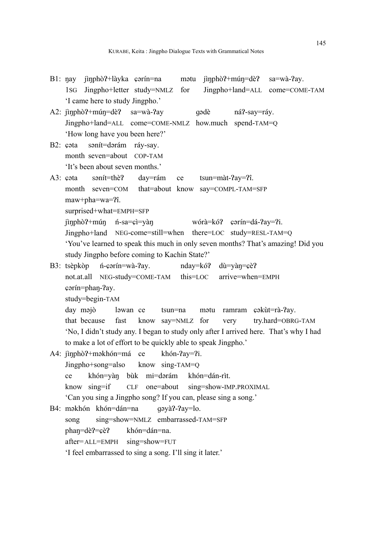| B1: nay jìnphò?+làyka carín=na matu jìnphò?+mún=dè? sa=wà-?ay.                        |  |  |  |  |  |  |
|---------------------------------------------------------------------------------------|--|--|--|--|--|--|
| Jingpho+land=ALL come=COME-TAM<br>1sG Jingpho+letter study=NMLZ for                   |  |  |  |  |  |  |
| 'I came here to study Jingpho.'                                                       |  |  |  |  |  |  |
| A2: jinphò?+mún=dè? sa=wà-?ay<br>gadè<br>ná?-say=ráy.                                 |  |  |  |  |  |  |
| Jingpho+land=ALL come=COME-NMLZ how.much spend-TAM=Q                                  |  |  |  |  |  |  |
| 'How long have you been here?'                                                        |  |  |  |  |  |  |
| sanít=darám ráy-say.<br>B2: cota                                                      |  |  |  |  |  |  |
| month seven=about COP-TAM                                                             |  |  |  |  |  |  |
| 'It's been about seven months.'                                                       |  |  |  |  |  |  |
| sənít=thè?<br>day=rám ce<br>$tsum= \hat{r}ay=\hat{r}.A3: cota$                        |  |  |  |  |  |  |
| month seven=COM that=about know say=COMPL-TAM=SFP                                     |  |  |  |  |  |  |
| maw+pha=wa=?î.                                                                        |  |  |  |  |  |  |
| surprised+what=EMPH=SFP                                                               |  |  |  |  |  |  |
| jìnphò?+mún ń-sa= $\hat{\mathfrak{c}}$ i=yàn<br>wórà=kó? cərín=dá-?ay=?i.             |  |  |  |  |  |  |
| Jingpho+land NEG-come=still=when there=LOC study=RESL-TAM=Q                           |  |  |  |  |  |  |
| 'You've learned to speak this much in only seven months? That's amazing! Did you      |  |  |  |  |  |  |
| study Jingpho before coming to Kachin State?'                                         |  |  |  |  |  |  |
| B3: tsèpkòp n-carin=wà-?ay.<br>nday=kó? dù=yàn=çè?                                    |  |  |  |  |  |  |
| not.at.all NEG-study=COME-TAM this=LOC<br>arrive=when=EMPH                            |  |  |  |  |  |  |
| corín=phan-?ay.                                                                       |  |  |  |  |  |  |
| study=begin-TAM                                                                       |  |  |  |  |  |  |
| day məjò<br>mətu ramram çəkut=rà-?ay.<br>ləwan ce<br>tsun=na                          |  |  |  |  |  |  |
| know say=NMLZ for<br>that because<br>fast<br>try.hard=OBRG-TAM<br>very                |  |  |  |  |  |  |
| 'No, I didn't study any. I began to study only after I arrived here. That's why I had |  |  |  |  |  |  |
| to make a lot of effort to be quickly able to speak Jingpho.'                         |  |  |  |  |  |  |
| A4: jìnphò?+məkhón=má ce khón-?ay=?i.                                                 |  |  |  |  |  |  |
| Jingpho+song=also<br>know sing- $TAM=Q$                                               |  |  |  |  |  |  |
| khón=yàn bùk mi=dərám khón=dán-rìt.<br>ce                                             |  |  |  |  |  |  |
| CLF one=about sing=show-IMP.PROXIMAL<br>know $sing=if$                                |  |  |  |  |  |  |
| 'Can you sing a Jingpho song? If you can, please sing a song.'                        |  |  |  |  |  |  |
| B4: məkhón khón=dán=na<br>gəyà?-?ay=lo.                                               |  |  |  |  |  |  |
| sing=show=NMLZ embarrassed-TAM=SFP<br>song                                            |  |  |  |  |  |  |
| khón=dán=na.<br>$phap = d\hat{e}$ ?= $c\hat{e}$ ?                                     |  |  |  |  |  |  |
| sing=show=FUT<br>after=ALL=EMPH                                                       |  |  |  |  |  |  |
| 'I feel embarrassed to sing a song. I'll sing it later.'                              |  |  |  |  |  |  |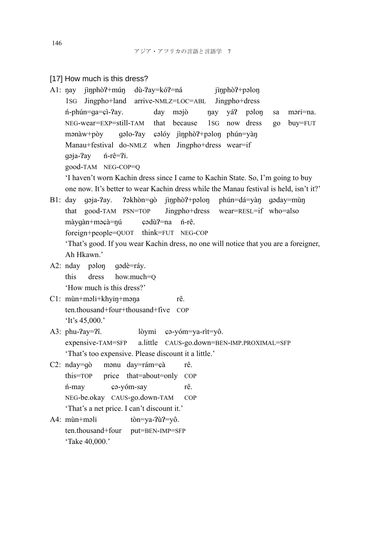#### [17] How much is this dress?

A1: nay jìnphò?+mún dù-?ay=kó?=ná jìnphò?+pəlon 1SG Jingpho+land arrive-NMLZ=LOC=ABL Jingpho+dress ń-phún=ɡa=ɕì-Ɂay. day məjò ŋay yáɁ pəloŋ sa məri=na. NEG-wear =EXP=still-TAM that because 1SG now dress go buy=FUT mənàw+pòy qəlo-?ay çəlóy jìnphò?+pəlon phún=yàn Manau+festival do-NMLZ when Jingpho+dress wear=if ɡəja-Ɂay ń-rê=Ɂi. good-TAM NEG-COP=Q 'I haven't worn Kachin dress since I came to Kachin State. So, I'm going to buy one now. It's better to wear Kachin dress while the Manau festival is held, isn't it?' B1: day qəja-?ay. ?əkhòn=gò jìnphò?+pəlon phún=dá=yàn qəday=mùn that good-TAM PSN=TOP Jingpho+dress wear=RESL=if who=also màygàn+məçà=nú cədù?=na ń-rê. foreign+people=QUOT think=FUT NEG-COP 'That's good. If you wear Kachin dress, no one will notice that you are a foreigner, Ah Hkawn.' A2: nday pəloŋ ɡədè=ráy. this dress how.much=Q 'How much is this dress?' C1: mùn+məli+khyiŋ+məŋa rê. ten.thousand+four+thousand+five COP 'It's 45,000.' A3: phu- $\gamma$ ay= $\gamma$ î. lòymi cə-yóm=ya-rìt=yô. expensive-TAM=SFP a.little CAUS-go.down=BEN-IMP.PROXIMAL=SFP 'That's too expensive. Please discount it a little.' C2: nday=qò mənu day=rám=çà rê. this=TOP price that=about=only COP ń-may ɕə-yóm-say rê. NEG-be.okay CAUS-go.down-TAM COP 'That's a net price. I can't discount it.' A4:  $m\hat{i}$  mùn+məli tòn=ya-? $\hat{i}$ ?=yô. ten.thousand+four put=BEN-IMP=SFP 'Take 40,000.'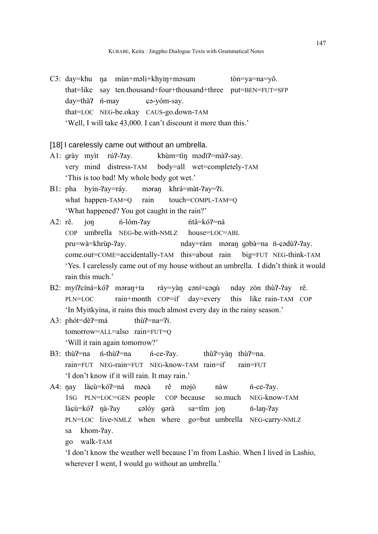C3: day=khu na mùn+məli+khyin+məsum tòn=ya=na=yô. that=like say ten.thousand+four+thousand+three put=BEN=FUT=SFP day=thà? *ń*-may cə-yóm-say. that=LOC NEG-be.okay CAUS-go.down-TAM 'Well, I will take 43,000. I can't discount it more than this.'

### [18] I carelessly came out without an umbrella.

- A1: grày myìt rú?-?ay. khùm=tìn mədì?=mà?-say. very mind distress-TAM body=all wet=completely-TAM 'This is too bad! My whole body got wet.'
- B1: pha byin-?ay=ráy. məran khrá=màt-?ay=?i. what happen-TAM=Q rain touch=COMPL-TAM=Q 'What happened? You got caught in the rain?'
- A2: rê. jon í-lóm-?ay ítâ=kó?=ná  $COP$  umbrella NEG-be.with-NMLZ house=LOC=ABL pru=wà=khrùp-?ay. nday=rám məran qəbà=na n-çədù?-?ay. come.out=COME=accidentally-TAM this=about rain big=FUT NEG- think-TAM 'Yes. I carelessly came out of my house without an umbrella. I didn't think it would rain this much.'
- B2: myí?cíná=kó? məran+ta ráy=yàn cəní=cəqù nday zòn thù?-?ay rê. PLN=LOC rain+month COP=if day=every this like rain-TAM COP 'In Myitkyina, it rains this much almost every day in the rainy season.'
- A3:  $ph\acute{o}t = d\grave{e}$ ?=má  $th\grave{u}$ ?=na=?i. tomorrow=ALL=also rain=FUT=Q 'Will it rain again tomorrow?'
- B3: thù?=na *n*-thù?=na *n*-ce-?ay. thù?=vàn thù?=na. rain=FUT NEG-rain=FUT NEG-know-TAM rain=if rain=FUT 'I don't know if it will rain. It may rain.'
- A4: nay làcù=kó?=ná məçà rê məjò nàw *n*-ce-?ay. 1SG PLN=LOC=GEN people COP because so.much NEG-know-TAM làçù=kó? nà-?ay cəlóy gərà sa=tîm jon ín-lan-?ay PLN=LOC live-NMLZ when where go=but umbrella NEG-carry-NMLZ sa khom-?av.
	- go walk-TAM

 'I don't know the weather well because I'm from Lashio. When I lived in Lashio, wherever I went, I would go without an umbrella.'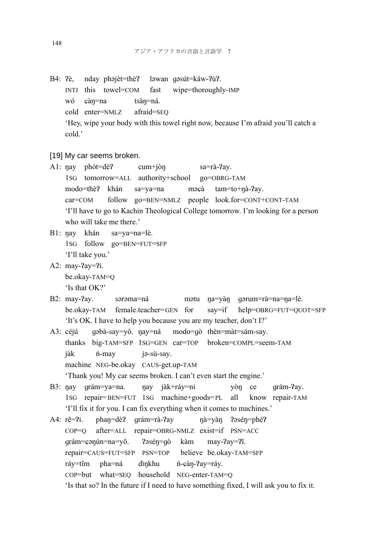B4: ?è, nday phəjèt=thè? ləwan qəsút=káw-?ù?. INTJ this towel=COM fast wipe=thoroughly-IMP wó càn=na tsàn=ná. cold enter=NMLZ afraid=SEQ 'Hey, wipe your body with this towel right now, because I'm afraid you'll catch a cold.'

[19] My car seems broken.

- A1:  $\eta$ ay phót=dè? cum+jòn sa=rà-?ay. 1SG tomorrow=ALL authority+school go=OBRG-TAM modo=thè? khán sa=ya=na məcà tam=to+nà-?ay. car=COM follow go=BEN=NMLZ people look.for=CONT+CONT-TAM 'I'll have to go to Kachin Theological College tomorrow. I'm looking for a person who will take me there.'
- B1: nay khán sa=ya=na=lè. 1SG follow go=BEN=FUT=SFP 'I'll take you.'
- A2: may-?ay=?i. be.okay-TAM=Q 'Is that OK?'
- B2: may-?ay. sərəma=ná mətu na=yàn qərum=rà=na=na=lè. be.okay-TAM female.teacher= GEN for say=if help=OBRG=FUT=QUOT=SFP 'It's OK. I have to help you because you are my teacher, don't I?'
- A3: céjú gəbà-say=yô. nay=ná modo=gò thèn=màt=sám-say. thanks big-TAM=SFP 1SG=GEN car=TOP broken=COMPL=seem-TAM jàk *n*-may jə-sù-say. machine NEG-be.okay CAUS-get.up-TAM 'Thank you! My car seems broken. I can't even start the engine.'
- B3: nay grám=ya=na. nay jàk+ráy=ni yòn ce grám-?ay. 1SG repair= BEN=FUT 1SG machine+goods= PL all know repair-TAM 'I'll fix it for you. I can fix everything when it comes to machines.'
- A4: rê=?i. phan=dè? grám=rà-?ay nà=yàn ?əsén=phé? COP=Q after=ALL repair=OBRG-NMLZ exist=if PSN=ACC grám=çənún=na=yô. ?əsén=gò kàm may-?ay=?î. repair=CAUS=FUT=SFP PSN=TOP believe be.okay-TAM=SFP ráy=tîm pha=ná dìnkhu *n*-càn-?ay=ráy. COP=but what=SEQ household NEG-enter-TAM=Q 'Is that so? In the future if I need to have something fixed, I will ask you to fix it.

148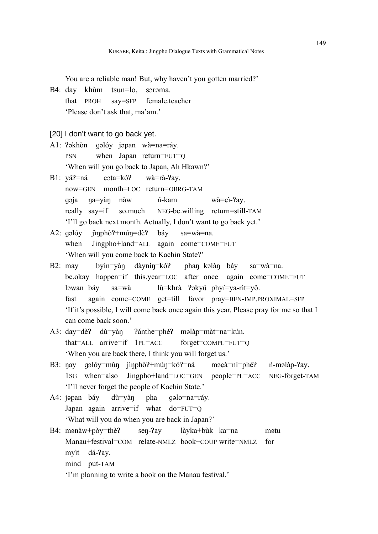You are a reliable man! But, why haven't you gotten married?'

- B4: day khùm tsun=lo, sərəma. that PROH say=SFP female.teacher 'Please don't ask that, ma'am.'
- [20] I don't want to go back yet.
- A1: ?əkhòn qəlóy jəpan wà=na=ráy. PSN when Japan return=FUT=Q 'When will you go back to Japan, Ah Hkawn?'
- $B1: vá? = ná$  cata=kó? wà=rà-?ay. now=GEN month=LOC return=OBRG-TAM ɡəja ŋa=yàŋ nàw ń-kam wà=ɕì-Ɂay. really say=if so.much NEG-be.willing return=still-TAM 'I'll go back next month. Actually, I don't want to go back yet.'
- A2: gəlóy jìnphò?+mún=dè? báy sa=wà=na. when Jingpho+land=ALL again come=COME=FUT 'When will you come back to Kachin State?'
- B2: may byin=yàn dàynin=kó? phan kəlàn báy sa=wà=na. be.okay happen=if this.year=LOC after once again come=COME=FUT ləwan báy sa=wà lù=khrà ?əkyú phyí=ya-rìt=yô. fast again come=COME get=till favor pray=BEN-IMP.PROXIMAL=SFP 'If it's possible, I will come back once again this year. Please pray for me so that I can come back soon.'
- A3: day=dè? dù=yàn ?ánthe=phé? məlàp=màt=na=kún. that=ALL arrive=if 1PL=ACC forget=COMPL=FUT=Q 'When you are back there, I think you will forget us.'
- B3: nay qəlóy=mùn jìnphò?+mún=kó?=ná məcà=ni=phé? *n*-məlàp-?ay. 1SG when=also Jingpho+land=LOC=GEN people=PL=ACC NEG- forget-TAM 'I'll never forget the people of Kachin State.'
- A4: jəpan báy dù=yàn pha qəlo=na=ráy. Japan again arrive=if what do=FUT=Q 'What will you do when you are back in Japan?'
- B4: mənàw+pòy=thè? sen-?ay làyka+bùk ka=na mətu Manau+festival=COM relate-NMLZ book+COUP write=NMLZ for myìt dá-?ay. mind put-TAM 'I'm planning to write a book on the Manau festival.'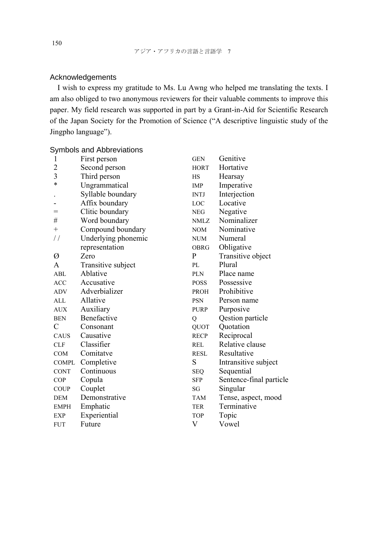# Acknowledgements

I wish to express my gratitude to Ms. Lu Awng who helped me translating the texts. I am also obliged to two anonymous reviewers for their valuable comments to improve this paper. My field research was supported in part by a Grant-in-Aid for Scientific Research of the Japan Society for the Promotion of Science ("A descriptive linguistic study of the Jingpho language").

# Symbols and Abbreviations

| 1              | First person        | <b>GEN</b>   | Genitive                |
|----------------|---------------------|--------------|-------------------------|
| $\overline{c}$ | Second person       | <b>HORT</b>  | Hortative               |
| 3              | Third person        | <b>HS</b>    | Hearsay                 |
| $\ast$         | Ungrammatical       | <b>IMP</b>   | Imperative              |
|                | Syllable boundary   | <b>INTJ</b>  | Interjection            |
|                | Affix boundary      | <b>LOC</b>   | Locative                |
| =              | Clitic boundary     | <b>NEG</b>   | Negative                |
| #              | Word boundary       | <b>NMLZ</b>  | Nominalizer             |
| $^{+}$         | Compound boundary   | NOM          | Nominative              |
| $\frac{1}{2}$  | Underlying phonemic | <b>NUM</b>   | Numeral                 |
|                | representation      | <b>OBRG</b>  | Obligative              |
| Ø              | Zero                | $\mathbf{P}$ | Transitive object       |
| A              | Transitive subject  | PL           | Plural                  |
| ABL            | Ablative            | <b>PLN</b>   | Place name              |
| <b>ACC</b>     | Accusative          | <b>POSS</b>  | Possessive              |
| <b>ADV</b>     | Adverbializer       | <b>PROH</b>  | Prohibitive             |
| <b>ALL</b>     | Allative            | <b>PSN</b>   | Person name             |
| <b>AUX</b>     | Auxiliary           | <b>PURP</b>  | Purposive               |
| <b>BEN</b>     | Benefactive         | Q            | Qestion particle        |
| C              | Consonant           | <b>QUOT</b>  | Quotation               |
| <b>CAUS</b>    | Causative           | <b>RECP</b>  | Reciprocal              |
| <b>CLF</b>     | Classifier          | <b>REL</b>   | Relative clause         |
| <b>COM</b>     | Comitatve           | <b>RESL</b>  | Resultative             |
| <b>COMPL</b>   | Completive          | S            | Intransitive subject    |
| <b>CONT</b>    | Continuous          | <b>SEQ</b>   | Sequential              |
| <b>COP</b>     | Copula              | <b>SFP</b>   | Sentence-final particle |
| <b>COUP</b>    | Couplet             | SG           | Singular                |
| <b>DEM</b>     | Demonstrative       | <b>TAM</b>   | Tense, aspect, mood     |
| <b>EMPH</b>    | Emphatic            | <b>TER</b>   | Terminative             |
| <b>EXP</b>     | Experiential        | <b>TOP</b>   | Topic                   |
| <b>FUT</b>     | Future              | V            | Vowel                   |

150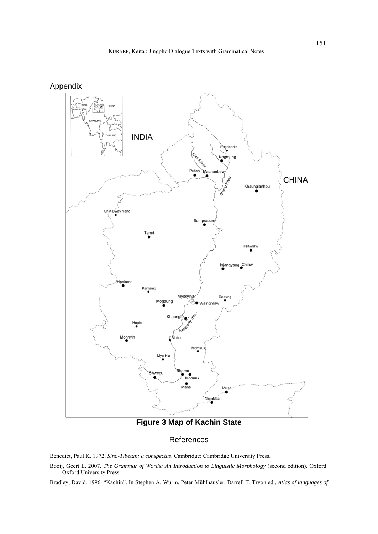



**Figure 3 Map of Kachin State**

# References

Benedict, Paul K. 1972. *Sino-Tibetan: a conspectus*. Cambridge: Cambridge University Press.

Booij, Geert E. 2007. *The Grammar of Words: An Introduction to Linguistic Morphology* (second edition). Oxford: Oxford University Press.

Bradley, David. 1996. "Kachin". In Stephen A. Wurm, Peter Mühlhäusler, Darrell T. Tryon ed., *Atlas of languages of*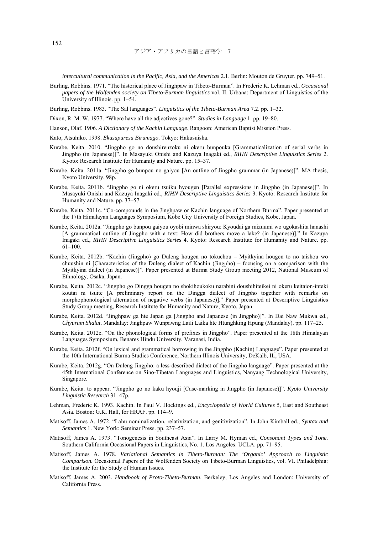*intercultural communication in the Pacific, Asia, and the Americas* 2.1. Berlin: Mouton de Gruyter. pp. 749–51.

- Burling, Robbins. 1971. "The historical place of Jinghpaw in Tibeto-Burman". In Frederic K. Lehman ed., *Occasional papers of the Wolfenden society on Tibeto-Burman linguistics* vol. II. Urbana: Department of Linguistics of the University of Illinois. pp. 1–54.
- Burling, Robbins. 1983. "The Sal languages". *Linguistics of the Tibeto-Burman Area* 7.2. pp. 1–32.
- Dixon, R. M. W. 1977. "Where have all the adjectives gone?". *Studies in Language* 1. pp. 19–80.
- Hanson, Olaf. 1906. *A Dictionary of the Kachin Language*. Rangoon: American Baptist Mission Press.
- Kato, Atsuhiko. 1998. *Ekusupuresu Birumago*. Tokyo: Hakusuisha.
- Kurabe, Keita. 2010. "Jingpho go no doushirenzoku ni okeru bunpouka [Grammaticalization of serial verbs in Jingpho (in Japanese)]". In Masayuki Onishi and Kazuya Inagaki ed., *RIHN Descriptive Linguistics Series* 2. Kyoto: Research Institute for Humanity and Nature. pp. 15–37.
- Kurabe, Keita. 2011a. "Jingpho go bunpou no gaiyou [An outline of Jingpho grammar (in Japanese)]". MA thesis, Kyoto University. 98p.
- Kurabe, Keita. 2011b. "Jingpho go ni okeru tsuiku hyougen [Parallel expressions in Jingpho (in Japanese)]". In Masayuki Onishi and Kazuya Inagaki ed., *RIHN Descriptive Linguistics Series* 3. Kyoto: Research Institute for Humanity and Nature. pp. 37–57.
- Kurabe, Keita. 2011c. "Co-compounds in the Jinghpaw or Kachin language of Northern Burma". Paper presented at the 17th Himalayan Languages Symposium, Kobe City University of Foreign Studies, Kobe, Japan.
- Kurabe, Keita. 2012a. "Jingpho go bunpou gaiyou oyobi minwa shiryou: Kyoudai ga mizuumi wo ugokashita hanashi [A grammatical outline of Jingpho with a text: How did brothers move a lake? (in Japanese)]." In Kazuya Inagaki ed., *RIHN Descriptive Linguistics Series* 4. Kyoto: Research Institute for Humanity and Nature. pp. 61–100.
- Kurabe, Keita. 2012b. "Kachin (Jingpho) go Duleng hougen no tokuchou Myitkyina hougen to no taishou wo chuushin ni [Characteristics of the Duleng dialect of Kachin (Jingpho) – focusing on a comparison with the Myitkyina dialect (in Japanese)]". Paper presented at Burma Study Group meeting 2012, National Museum of Ethnology, Osaka, Japan.
- Kurabe, Keita. 2012c. "Jingpho go Dingga hougen no shokihoukoku narabini doushihiteikei ni okeru keitaion-inteki koutai ni tsuite [A preliminary report on the Dingga dialect of Jingpho together with remarks on morphophonological alternation of negative verbs (in Japanese)]." Paper presented at Descriptive Linguistics Study Group meeting, Research Institute for Humanity and Nature, Kyoto, Japan.
- Kurabe, Keita. 2012d. "Jinghpaw ga hte Japan ga [Jingpho and Japanese (in Jingpho)]". In Dai Naw Mukwa ed., *Chyurum Shalat*. Mandalay: Jinghpaw Wunpawng Laili Laika hte Htunghking Hpung (Mandalay). pp. 117–25.
- Kurabe, Keita. 2012e. "On the phonological forms of prefixes in Jingpho". Paper presented at the 18th Himalayan Languages Symposium, Benares Hindu University, Varanasi, India.
- Kurabe, Keita. 2012f. "On lexical and grammatical borrowing in the Jingpho (Kachin) Language". Paper presented at the 10th International Burma Studies Conference, Northern Illinois University, DeKalb, IL, USA.
- Kurabe, Keita. 2012g. "On Duleng Jingpho: a less-described dialect of the Jingpho language". Paper presented at the 45th International Conference on Sino-Tibetan Languages and Linguistics, Nanyang Technological University, Singapore.
- Kurabe, Keita. to appear. "Jingpho go no kaku hyouji [Case-marking in Jingpho (in Japanese)]". *Kyoto University Linguistic Research* 31. 47p.
- Lehman, Frederic K. 1993. Kachin. In Paul V. Hockings ed., *Encyclopedia of World Cultures* 5, East and Southeast Asia. Boston: G.K. Hall, for HRAF. pp. 114–9.
- Matisoff, James A. 1972. "Lahu nominalization, relativization, and genitivization". In John Kimball ed., *Syntax and Semantics* 1. New York: Seminar Press. pp. 237–57.
- Matisoff, James A. 1973. "Tonogenesis in Southeast Asia". In Larry M. Hyman ed., *Consonant Types and Tone*. Southern California Occasional Papers in Linguistics, No. 1. Los Angeles: UCLA. pp. 71–95.
- Matisoff, James A. 1978. *Variational Semantics in Tibeto-Burman: The 'Organic' Approach to Linguistic Comparison.* Occasional Papers of the Wolfenden Society on Tibeto-Burman Linguistics, vol. VI. Philadelphia: the Institute for the Study of Human Issues.
- Matisoff, James A. 2003. *Handbook of Proto-Tibeto-Burman*. Berkeley, Los Angeles and London: University of California Press.